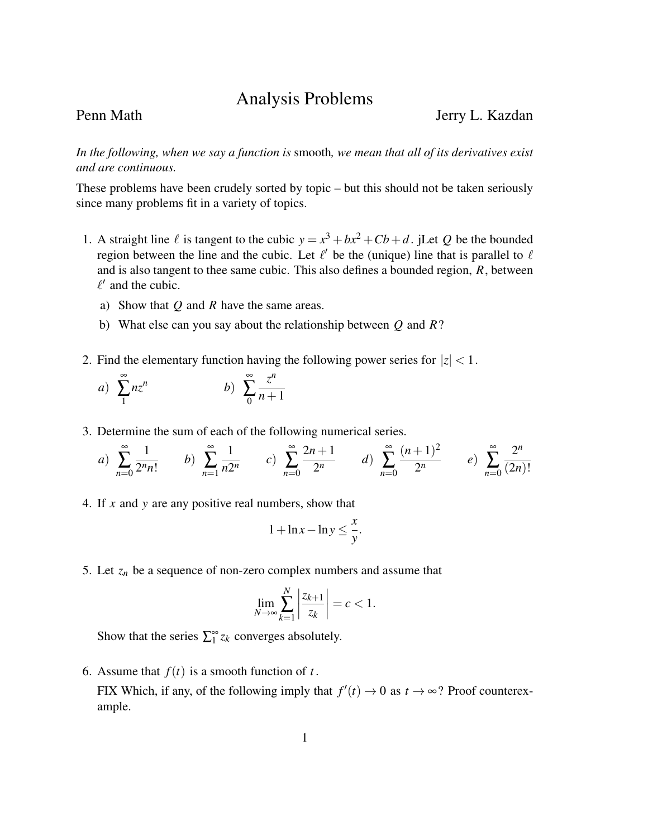## Analysis Problems

Penn Math Jerry L. Kazdan

*In the following, when we say a function is* smooth*, we mean that all of its derivatives exist and are continuous.*

These problems have been crudely sorted by topic – but this should not be taken seriously since many problems fit in a variety of topics.

- 1. A straight line  $\ell$  is tangent to the cubic  $y = x^3 + bx^2 + Cb + d$ . jLet *Q* be the bounded region between the line and the cubic. Let  $\ell'$  be the (unique) line that is parallel to  $\ell$ and is also tangent to thee same cubic. This also defines a bounded region, *R*, between  $\ell'$  and the cubic.
	- a) Show that *Q* and *R* have the same areas.
	- b) What else can you say about the relationship between *Q* and *R*?
- 2. Find the elementary function having the following power series for  $|z| < 1$ .

a) 
$$
\sum_{1}^{\infty} nz^n
$$
 b) 
$$
\sum_{0}^{\infty} \frac{z^n}{n+1}
$$

3. Determine the sum of each of the following numerical series.

a) 
$$
\sum_{n=0}^{\infty} \frac{1}{2^n n!}
$$
 b)  $\sum_{n=1}^{\infty} \frac{1}{n2^n}$  c)  $\sum_{n=0}^{\infty} \frac{2n+1}{2^n}$  d)  $\sum_{n=0}^{\infty} \frac{(n+1)^2}{2^n}$  e)  $\sum_{n=0}^{\infty} \frac{2^n}{(2n)!}$ 

4. If *x* and *y* are any positive real numbers, show that

$$
1 + \ln x - \ln y \le \frac{x}{y}.
$$

5. Let  $z_n$  be a sequence of non-zero complex numbers and assume that

$$
\lim_{N \to \infty} \sum_{k=1}^{N} \left| \frac{z_{k+1}}{z_k} \right| = c < 1.
$$

Show that the series  $\sum_{i=1}^{\infty} z_k$  converges absolutely.

6. Assume that  $f(t)$  is a smooth function of *t*.

FIX Which, if any, of the following imply that  $f'(t) \to 0$  as  $t \to \infty$ ? Proof counterexample.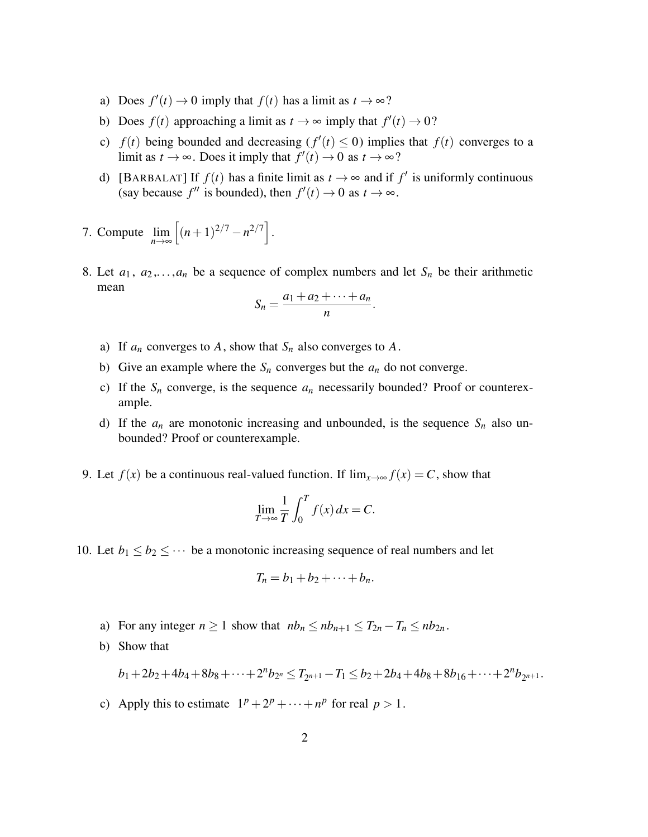- a) Does  $f'(t) \to 0$  imply that  $f(t)$  has a limit as  $t \to \infty$ ?
- b) Does  $f(t)$  approaching a limit as  $t \to \infty$  imply that  $f'(t) \to 0$ ?
- c)  $f(t)$  being bounded and decreasing  $(f'(t) \leq 0)$  implies that  $f(t)$  converges to a limit as  $t \to \infty$ . Does it imply that  $f'(t) \to 0$  as  $t \to \infty$ ?
- d) [BARBALAT] If  $f(t)$  has a finite limit as  $t \to \infty$  and if  $f'$  is uniformly continuous (say because  $f''$  is bounded), then  $f'(t) \to 0$  as  $t \to \infty$ .
- 7. Compute  $\lim_{n\to\infty}$  $\left[ (n+1)^{2/7} - n^{2/7} \right]$ .
- 8. Let  $a_1, a_2,..., a_n$  be a sequence of complex numbers and let  $S_n$  be their arithmetic mean

$$
S_n=\frac{a_1+a_2+\cdots+a_n}{n}.
$$

- a) If  $a_n$  converges to  $A$ , show that  $S_n$  also converges to  $A$ .
- b) Give an example where the  $S_n$  converges but the  $a_n$  do not converge.
- c) If the  $S_n$  converge, is the sequence  $a_n$  necessarily bounded? Proof or counterexample.
- d) If the  $a_n$  are monotonic increasing and unbounded, is the sequence  $S_n$  also unbounded? Proof or counterexample.
- 9. Let  $f(x)$  be a continuous real-valued function. If  $\lim_{x\to\infty} f(x) = C$ , show that

$$
\lim_{T \to \infty} \frac{1}{T} \int_0^T f(x) \, dx = C.
$$

10. Let  $b_1 \leq b_2 \leq \cdots$  be a monotonic increasing sequence of real numbers and let

$$
T_n = b_1 + b_2 + \cdots + b_n.
$$

- a) For any integer  $n \ge 1$  show that  $nb_n \le nb_{n+1} \le T_{2n} T_n \le nb_{2n}$ .
- b) Show that

$$
b_1+2b_2+4b_4+8b_8+\cdots+2^{n}b_{2^{n}}\leq T_{2^{n+1}}-T_1\leq b_2+2b_4+4b_8+8b_{16}+\cdots+2^{n}b_{2^{n+1}}.
$$

c) Apply this to estimate  $1^p + 2^p + \cdots + n^p$  for real  $p > 1$ .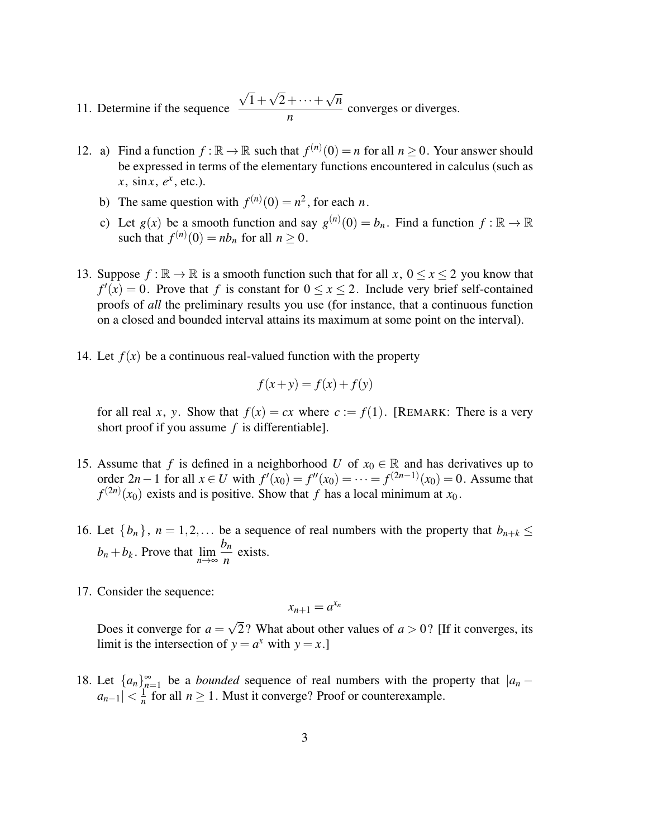- 11. Determine if the sequence √ 1+ √  $2+\cdots+$ √ *n*  $\frac{1}{n}$   $\frac{1}{n}$  converges or diverges.
- 12. a) Find a function  $f : \mathbb{R} \to \mathbb{R}$  such that  $f^{(n)}(0) = n$  for all  $n \ge 0$ . Your answer should be expressed in terms of the elementary functions encountered in calculus (such as  $x, \sin x, e^x, \text{etc.}$ ).
	- b) The same question with  $f^{(n)}(0) = n^2$ , for each *n*.
	- c) Let  $g(x)$  be a smooth function and say  $g^{(n)}(0) = b_n$ . Find a function  $f : \mathbb{R} \to \mathbb{R}$ such that  $f^{(n)}(0) = nb_n$  for all  $n \ge 0$ .
- 13. Suppose  $f : \mathbb{R} \to \mathbb{R}$  is a smooth function such that for all  $x, 0 \le x \le 2$  you know that  $f'(x) = 0$ . Prove that *f* is constant for  $0 \le x \le 2$ . Include very brief self-contained proofs of *all* the preliminary results you use (for instance, that a continuous function on a closed and bounded interval attains its maximum at some point on the interval).
- 14. Let  $f(x)$  be a continuous real-valued function with the property

$$
f(x+y) = f(x) + f(y)
$$

for all real *x*, *y*. Show that  $f(x) = cx$  where  $c := f(1)$ . [REMARK: There is a very short proof if you assume *f* is differentiable].

- 15. Assume that *f* is defined in a neighborhood *U* of  $x_0 \in \mathbb{R}$  and has derivatives up to order 2*n* − 1 for all *x* ∈ *U* with  $f'(x_0) = f''(x_0) = \cdots = f^{(2n-1)}(x_0) = 0$ . Assume that  $f^{(2n)}(x_0)$  exists and is positive. Show that *f* has a local minimum at *x*<sub>0</sub>.
- 16. Let  $\{b_n\}$ ,  $n = 1, 2, \ldots$  be a sequence of real numbers with the property that  $b_{n+k} \leq$  $b_n + b_k$ . Prove that  $\lim_{n \to \infty}$ *bn*  $\frac{n}{n}$  exists.
- 17. Consider the sequence:

$$
x_{n+1}=a^{x_n}
$$

Does it converge for  $a =$ √ 2? What about other values of  $a > 0$ ? [If it converges, its limit is the intersection of  $y = a^x$  with  $y = x$ .]

18. Let  $\{a_n\}_{n=1}^{\infty}$  be a *bounded* sequence of real numbers with the property that  $|a_n - b_n|$  $|a_{n-1}| < \frac{1}{n}$  $\frac{1}{n}$  for all  $n \ge 1$ . Must it converge? Proof or counterexample.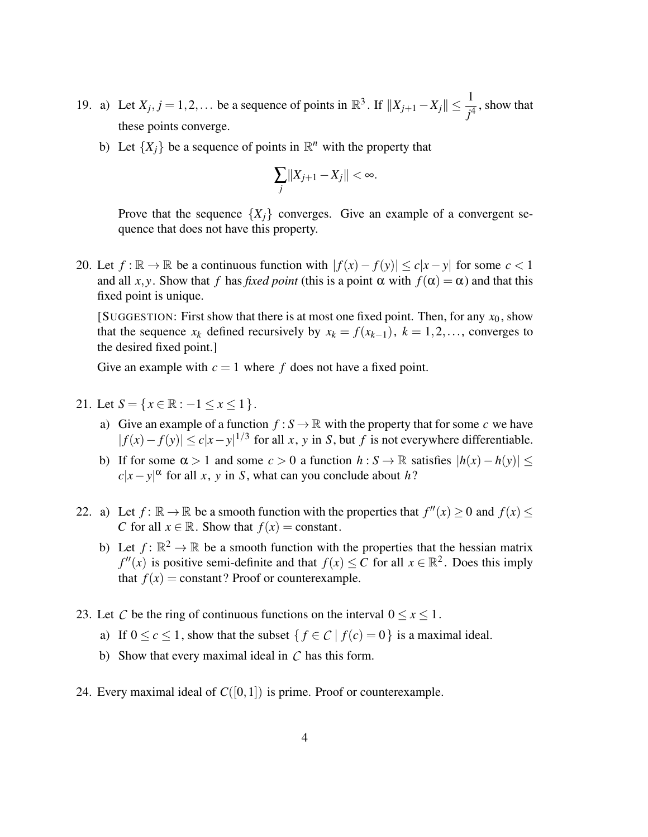- 19. a) Let  $X_j$ ,  $j = 1, 2, \ldots$  be a sequence of points in  $\mathbb{R}^3$ . If  $||X_{j+1} X_j|| \leq \frac{1}{j^4}$ , show that these points converge.
	- b) Let  $\{X_j\}$  be a sequence of points in  $\mathbb{R}^n$  with the property that

$$
\sum_j\|X_{j+1}-X_j\|<\infty.
$$

Prove that the sequence  ${X_i}$  converges. Give an example of a convergent sequence that does not have this property.

20. Let  $f : \mathbb{R} \to \mathbb{R}$  be a continuous function with  $|f(x) - f(y)| \le c|x - y|$  for some  $c < 1$ and all *x*, *y*. Show that *f* has *fixed point* (this is a point  $\alpha$  with  $f(\alpha) = \alpha$ ) and that this fixed point is unique.

[SUGGESTION: First show that there is at most one fixed point. Then, for any  $x_0$ , show that the sequence  $x_k$  defined recursively by  $x_k = f(x_{k-1}), k = 1, 2, \ldots$ , converges to the desired fixed point.]

Give an example with  $c = 1$  where f does not have a fixed point.

- 21. Let  $S = \{x \in \mathbb{R} : -1 \le x \le 1\}.$ 
	- a) Give an example of a function  $f : S \to \mathbb{R}$  with the property that for some *c* we have  $|f(x) - f(y)|$  ≤  $c|x - y|^{1/3}$  for all *x*, *y* in *S*, but *f* is not everywhere differentiable.
	- b) If for some  $\alpha > 1$  and some  $c > 0$  a function  $h : S \to \mathbb{R}$  satisfies  $|h(x) h(y)| \le$  $c|x-y|^{\alpha}$  for all *x*, *y* in *S*, what can you conclude about *h*?
- 22. a) Let  $f: \mathbb{R} \to \mathbb{R}$  be a smooth function with the properties that  $f''(x) \ge 0$  and  $f(x) \le$ *C* for all  $x \in \mathbb{R}$ . Show that  $f(x) = constant$ .
	- b) Let  $f: \mathbb{R}^2 \to \mathbb{R}$  be a smooth function with the properties that the hessian matrix  $f''(x)$  is positive semi-definite and that  $f(x) \leq C$  for all  $x \in \mathbb{R}^2$ . Does this imply that  $f(x) = constant$ ? Proof or counterexample.
- 23. Let *C* be the ring of continuous functions on the interval  $0 \le x \le 1$ .
	- a) If  $0 \le c \le 1$ , show that the subset  $\{f \in C \mid f(c) = 0\}$  is a maximal ideal.
	- b) Show that every maximal ideal in *C* has this form.
- 24. Every maximal ideal of  $C([0,1])$  is prime. Proof or counterexample.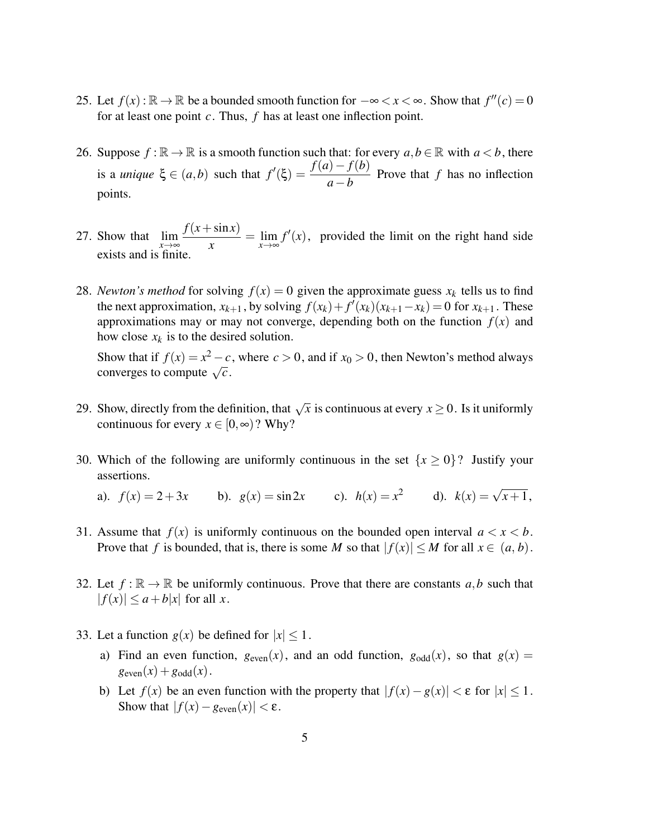- 25. Let  $f(x): \mathbb{R} \to \mathbb{R}$  be a bounded smooth function for  $-\infty < x < \infty$ . Show that  $f''(c) = 0$ for at least one point *c*. Thus, *f* has at least one inflection point.
- 26. Suppose  $f : \mathbb{R} \to \mathbb{R}$  is a smooth function such that: for every  $a, b \in \mathbb{R}$  with  $a < b$ , there is a *unique*  $\xi \in (a,b)$  such that  $f'(\xi) = \frac{f(a) - f(b)}{a - b}$  Prove that *f* has no inflection points.
- 27. Show that  $\lim_{x \to \infty}$  $f(x + \sin x)$  $\frac{\sinh(x)}{x} = \lim_{x \to \infty} f'(x)$ , provided the limit on the right hand side exists and is finite.
- 28. *Newton's method* for solving  $f(x) = 0$  given the approximate guess  $x_k$  tells us to find the next approximation,  $x_{k+1}$ , by solving  $f(x_k) + f'(x_k)(x_{k+1} - x_k) = 0$  for  $x_{k+1}$ . These approximations may or may not converge, depending both on the function  $f(x)$  and how close  $x_k$  is to the desired solution.

Show that if  $f(x) = x^2 - c$ , where  $c > 0$ , and if  $x_0 > 0$ , then Newton's method always Show that if  $f(x) = x^2 - c$ <br>converges to compute  $\sqrt{c}$ .

- 29. Show, directly from the definition, that  $\sqrt{x}$  is continuous at every  $x \ge 0$ . Is it uniformly continuous for every  $x \in [0, \infty)$ ? Why?
- 30. Which of the following are uniformly continuous in the set  $\{x \ge 0\}$ ? Justify your assertions.

a).  $f(x) = 2 + 3x$  b).  $g(x) = \sin 2x$  c).  $h(x) = x^2$  d).  $k(x) = \sqrt{x+1}$ ,

- 31. Assume that  $f(x)$  is uniformly continuous on the bounded open interval  $a < x < b$ . Prove that *f* is bounded, that is, there is some *M* so that  $|f(x)| \le M$  for all  $x \in (a, b)$ .
- 32. Let  $f : \mathbb{R} \to \mathbb{R}$  be uniformly continuous. Prove that there are constants  $a, b$  such that  $|f(x)| \leq a + b|x|$  for all *x*.
- 33. Let a function  $g(x)$  be defined for  $|x| < 1$ .
	- a) Find an even function,  $g_{even}(x)$ , and an odd function,  $g_{odd}(x)$ , so that  $g(x) =$  $g_{\text{even}}(x) + g_{\text{odd}}(x)$ .
	- b) Let  $f(x)$  be an even function with the property that  $|f(x) g(x)| < \varepsilon$  for  $|x| \le 1$ . Show that  $|f(x) - g_{\text{even}}(x)| < \varepsilon$ .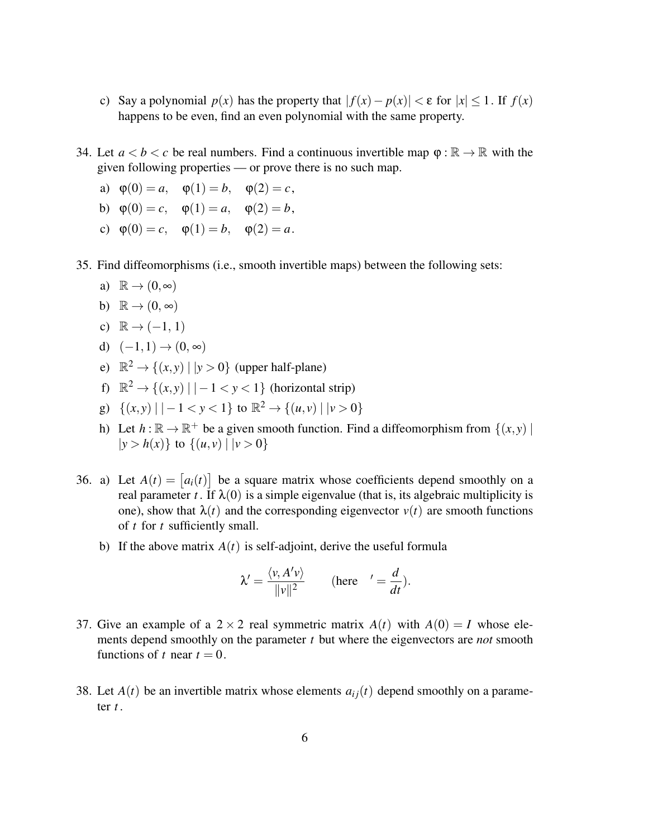- c) Say a polynomial  $p(x)$  has the property that  $|f(x) p(x)| < \varepsilon$  for  $|x| < 1$ . If  $f(x)$ happens to be even, find an even polynomial with the same property.
- 34. Let  $a < b < c$  be real numbers. Find a continuous invertible map  $\varphi : \mathbb{R} \to \mathbb{R}$  with the given following properties — or prove there is no such map.
	- a)  $\phi(0) = a$ ,  $\phi(1) = b$ ,  $\phi(2) = c$ ,
	- b)  $\varphi(0) = c$ ,  $\varphi(1) = a$ ,  $\varphi(2) = b$ ,
	- c)  $\varphi(0) = c$ ,  $\varphi(1) = b$ ,  $\varphi(2) = a$ .
- 35. Find diffeomorphisms (i.e., smooth invertible maps) between the following sets:
	- a)  $\mathbb{R} \to (0, \infty)$
	- b)  $\mathbb{R} \to (0, \infty)$
	- c)  $\mathbb{R} \rightarrow (-1, 1)$
	- d)  $(-1,1) \rightarrow (0,\infty)$
	- e)  $\mathbb{R}^2 \to \{(x, y) \mid |y > 0\}$  (upper half-plane)
	- f)  $\mathbb{R}^2 \to \{(x, y) \mid |-1 < y < 1\}$  (horizontal strip)
	- g)  $\{(x, y) | -1 < y < 1\}$  to  $\mathbb{R}^2 \to \{(u, v) | | v > 0\}$
	- h) Let  $h : \mathbb{R} \to \mathbb{R}^+$  be a given smooth function. Find a diffeomorphism from  $\{(x, y) \mid$  $|y > h(x)$  to  $\{(u, v) | v > 0\}$
- 36. a) Let  $A(t) = [a_i(t)]$  be a square matrix whose coefficients depend smoothly on a real parameter *t*. If  $\lambda(0)$  is a simple eigenvalue (that is, its algebraic multiplicity is one), show that  $\lambda(t)$  and the corresponding eigenvector  $v(t)$  are smooth functions of *t* for *t* sufficiently small.
	- b) If the above matrix  $A(t)$  is self-adjoint, derive the useful formula

$$
\lambda' = \frac{\langle v, A'v \rangle}{\|v\|^2} \quad \text{(here} \quad' = \frac{d}{dt}).
$$

- 37. Give an example of a  $2 \times 2$  real symmetric matrix  $A(t)$  with  $A(0) = I$  whose elements depend smoothly on the parameter *t* but where the eigenvectors are *not* smooth functions of *t* near  $t = 0$ .
- 38. Let  $A(t)$  be an invertible matrix whose elements  $a_{ij}(t)$  depend smoothly on a parameter *t* .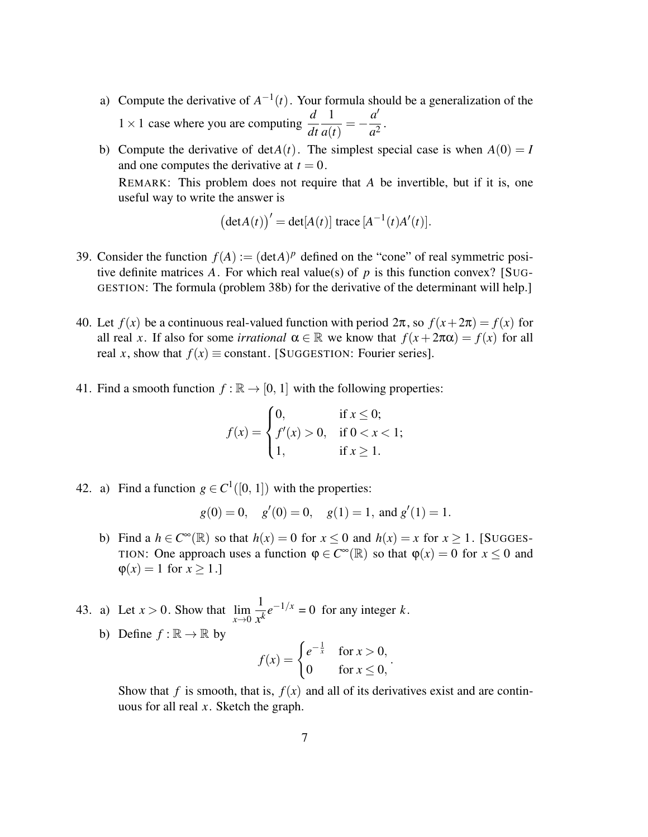- a) Compute the derivative of  $A^{-1}(t)$ . Your formula should be a generalization of the  $1 \times 1$  case where you are computing  $\frac{d}{dt}$ 1 *a*(*t*)  $=-\frac{a'}{2}$  $rac{a^2}{a^2}$ .
- b) Compute the derivative of  $detA(t)$ . The simplest special case is when  $A(0) = I$ and one computes the derivative at  $t = 0$ .

REMARK: This problem does not require that *A* be invertible, but if it is, one useful way to write the answer is

$$
\left(\det A(t)\right)' = \det[A(t)] \operatorname{trace} \left[A^{-1}(t)A'(t)\right].
$$

- 39. Consider the function  $f(A) := (\text{det}A)^p$  defined on the "cone" of real symmetric positive definite matrices A. For which real value(s) of  $p$  is this function convex? [SUG-GESTION: The formula (problem 38b) for the derivative of the determinant will help.]
- 40. Let  $f(x)$  be a continuous real-valued function with period  $2\pi$ , so  $f(x+2\pi) = f(x)$  for all real *x*. If also for some *irrational*  $\alpha \in \mathbb{R}$  we know that  $f(x + 2\pi \alpha) = f(x)$  for all real *x*, show that  $f(x) \equiv$  constant. [SUGGESTION: Fourier series].
- 41. Find a smooth function  $f : \mathbb{R} \to [0, 1]$  with the following properties:

$$
f(x) = \begin{cases} 0, & \text{if } x \le 0; \\ f'(x) > 0, & \text{if } 0 < x < 1; \\ 1, & \text{if } x \ge 1. \end{cases}
$$

42. a) Find a function  $g \in C^1([0, 1])$  with the properties:

$$
g(0) = 0
$$
,  $g'(0) = 0$ ,  $g(1) = 1$ , and  $g'(1) = 1$ .

- b) Find a  $h \in C^{\infty}(\mathbb{R})$  so that  $h(x) = 0$  for  $x \le 0$  and  $h(x) = x$  for  $x \ge 1$ . [SUGGES-TION: One approach uses a function  $\varphi \in C^{\infty}(\mathbb{R})$  so that  $\varphi(x) = 0$  for  $x \le 0$  and  $\varphi(x) = 1$  for  $x \ge 1$ .]
- 43. a) Let  $x > 0$ . Show that  $\lim_{x \to 0}$ 1  $\frac{1}{x^k}e^{-1/x} = 0$  for any integer *k*.
	- b) Define  $f : \mathbb{R} \to \mathbb{R}$  by

$$
f(x) = \begin{cases} e^{-\frac{1}{x}} & \text{for } x > 0, \\ 0 & \text{for } x \le 0, \end{cases}
$$

Show that *f* is smooth, that is,  $f(x)$  and all of its derivatives exist and are continuous for all real *x*. Sketch the graph.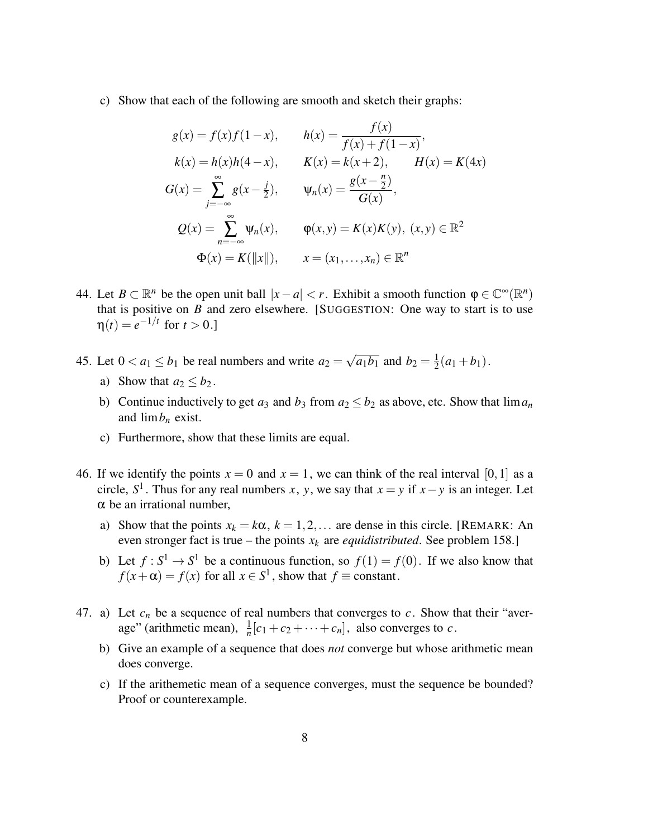c) Show that each of the following are smooth and sketch their graphs:

$$
g(x) = f(x)f(1-x), \t h(x) = \frac{f(x)}{f(x) + f(1-x)},
$$
  
\n
$$
k(x) = h(x)h(4-x), \t K(x) = k(x+2), \t H(x) = K(4x)
$$
  
\n
$$
G(x) = \sum_{j=-\infty}^{\infty} g(x-\frac{j}{2}), \t \psi_n(x) = \frac{g(x-\frac{n}{2})}{G(x)},
$$
  
\n
$$
Q(x) = \sum_{n=-\infty}^{\infty} \psi_n(x), \t \varphi(x,y) = K(x)K(y), (x,y) \in \mathbb{R}^2
$$
  
\n
$$
\Phi(x) = K(||x||), \t x = (x_1, ..., x_n) \in \mathbb{R}^n
$$

- 44. Let  $B \subset \mathbb{R}^n$  be the open unit ball  $|x-a| < r$ . Exhibit a smooth function  $\varphi \in \mathbb{C}^\infty(\mathbb{R}^n)$ that is positive on  $B$  and zero elsewhere. [SUGGESTION: One way to start is to use  $\eta(t) = e^{-1/t}$  for  $t > 0$ .]
- 45. Let  $0 < a_1 \le b_1$  be real numbers and write  $a_2 =$ √  $\overline{a_1b_1}$  and  $b_2=\frac{1}{2}$  $rac{1}{2}(a_1+b_1).$ 
	- a) Show that  $a_2 \leq b_2$ .
	- b) Continue inductively to get  $a_3$  and  $b_3$  from  $a_2 \leq b_2$  as above, etc. Show that  $\lim a_n$ and  $\lim b_n$  exist.
	- c) Furthermore, show that these limits are equal.
- 46. If we identify the points  $x = 0$  and  $x = 1$ , we can think of the real interval [0, 1] as a circle,  $S^1$ . Thus for any real numbers *x*, *y*, we say that  $x = y$  if  $x - y$  is an integer. Let  $\alpha$  be an irrational number.
	- a) Show that the points  $x_k = k\alpha$ ,  $k = 1, 2, \dots$  are dense in this circle. [REMARK: An even stronger fact is true – the points  $x_k$  are *equidistributed*. See problem 158.]
	- b) Let  $f: S^1 \to S^1$  be a continuous function, so  $f(1) = f(0)$ . If we also know that  $f(x + \alpha) = f(x)$  for all  $x \in S^1$ , show that  $f \equiv$  constant.
- 47. a) Let  $c_n$  be a sequence of real numbers that converges to  $c$ . Show that their "average" (arithmetic mean),  $\frac{1}{n}[c_1 + c_2 + \cdots + c_n]$ , also converges to *c*.
	- b) Give an example of a sequence that does *not* converge but whose arithmetic mean does converge.
	- c) If the arithemetic mean of a sequence converges, must the sequence be bounded? Proof or counterexample.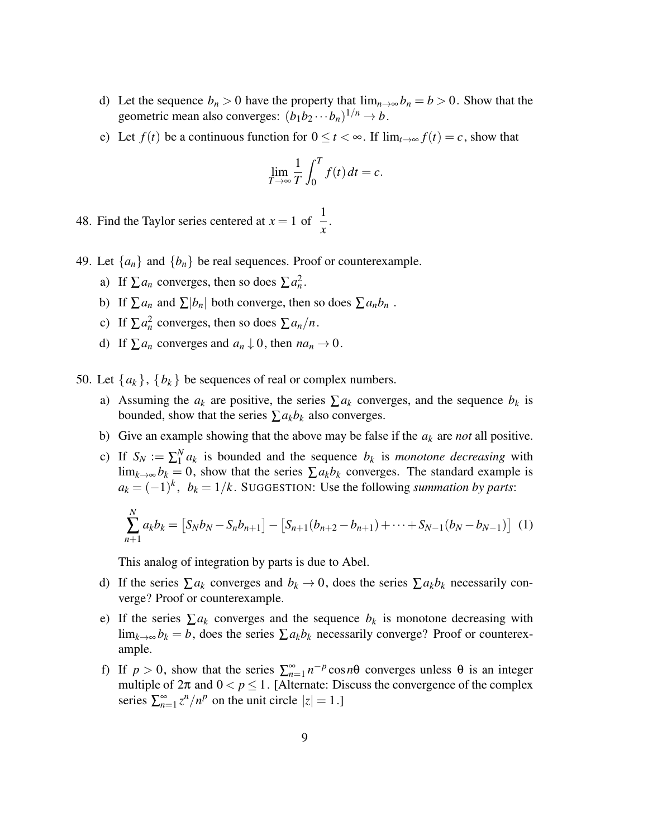- d) Let the sequence  $b_n > 0$  have the property that  $\lim_{n\to\infty} b_n = b > 0$ . Show that the geometric mean also converges:  $(b_1b_2 \cdots b_n)^{1/n} \to b$ .
- e) Let  $f(t)$  be a continuous function for  $0 \le t < \infty$ . If  $\lim_{t \to \infty} f(t) = c$ , show that

$$
\lim_{T \to \infty} \frac{1}{T} \int_0^T f(t) \, dt = c.
$$

48. Find the Taylor series centered at  $x = 1$  of  $\frac{1}{x}$ .

- 49. Let  $\{a_n\}$  and  $\{b_n\}$  be real sequences. Proof or counterexample.
	- a) If  $\sum a_n$  converges, then so does  $\sum a_n^2$ .
	- b) If  $\sum a_n$  and  $\sum |b_n|$  both converge, then so does  $\sum a_n b_n$ .
	- c) If  $\sum a_n^2$  converges, then so does  $\sum a_n/n$ .
	- d) If  $\sum a_n$  converges and  $a_n \downarrow 0$ , then  $na_n \rightarrow 0$ .
- 50. Let  $\{a_k\}$ ,  $\{b_k\}$  be sequences of real or complex numbers.
	- a) Assuming the  $a_k$  are positive, the series  $\sum a_k$  converges, and the sequence  $b_k$  is bounded, show that the series  $\sum a_k b_k$  also converges.
	- b) Give an example showing that the above may be false if the *a<sup>k</sup>* are *not* all positive.
	- c) If  $S_N := \sum_{1}^{N}$  $\int_{1}^{N} a_k$  is bounded and the sequence  $b_k$  is *monotone decreasing* with lim<sub>*k*→∞</sub>  $b_k = 0$ , show that the series  $\sum a_k b_k$  converges. The standard example is  $a_k = (-1)^k$ ,  $b_k = 1/k$ . SUGGESTION: Use the following *summation by parts*:

$$
\sum_{n+1}^{N} a_k b_k = [S_N b_N - S_n b_{n+1}] - [S_{n+1} (b_{n+2} - b_{n+1}) + \cdots + S_{N-1} (b_N - b_{N-1})]
$$
 (1)

This analog of integration by parts is due to Abel.

- d) If the series  $\sum a_k$  converges and  $b_k \to 0$ , does the series  $\sum a_k b_k$  necessarily converge? Proof or counterexample.
- e) If the series  $\sum a_k$  converges and the sequence  $b_k$  is monotone decreasing with lim<sub>*k→∞*</sub> $b_k = b$ , does the series  $\sum a_k b_k$  necessarily converge? Proof or counterexample.
- f) If  $p > 0$ , show that the series  $\sum_{n=1}^{\infty} n^{-p} \cos n\theta$  converges unless  $\theta$  is an integer multiple of  $2\pi$  and  $0 < p \le 1$ . [Alternate: Discuss the convergence of the complex series  $\sum_{n=1}^{\infty} z^n/n^p$  on the unit circle  $|z| = 1$ .]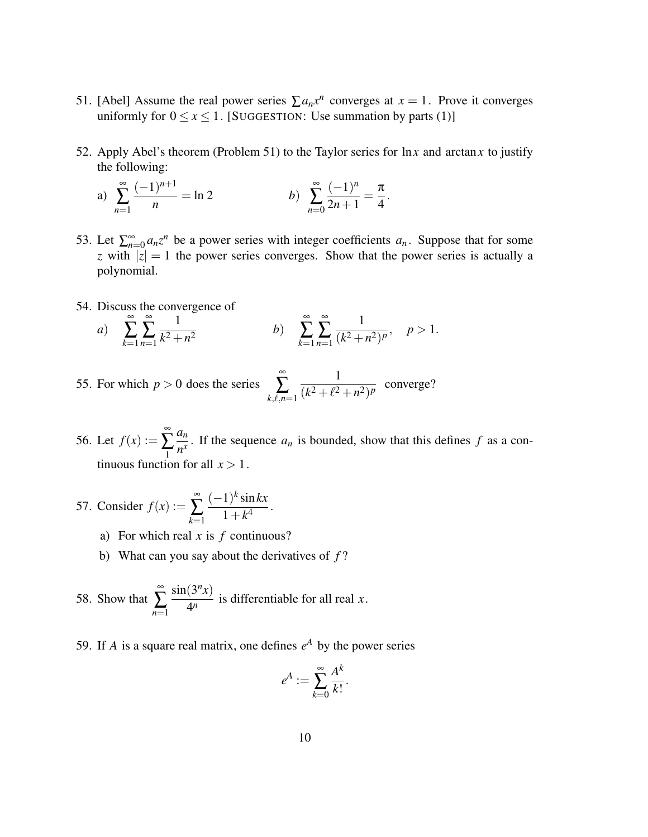- 51. [Abel] Assume the real power series  $\sum a_n x^n$  converges at  $x = 1$ . Prove it converges uniformly for  $0 \le x \le 1$ . [SUGGESTION: Use summation by parts (1)]
- 52. Apply Abel's theorem (Problem 51) to the Taylor series for ln*x* and arctan*x* to justify the following:

a) 
$$
\sum_{n=1}^{\infty} \frac{(-1)^{n+1}}{n} = \ln 2
$$
 b) 
$$
\sum_{n=0}^{\infty} \frac{(-1)^n}{2n+1} = \frac{\pi}{4}.
$$

- 53. Let  $\sum_{n=0}^{\infty} a_n z^n$  be a power series with integer coefficients  $a_n$ . Suppose that for some *z* with  $|z| = 1$  the power series converges. Show that the power series is actually a polynomial.
- 54. Discuss the convergence of

a) 
$$
\sum_{k=1}^{\infty} \sum_{n=1}^{\infty} \frac{1}{k^2 + n^2}
$$
 b)  $\sum_{k=1}^{\infty} \sum_{n=1}^{\infty} \frac{1}{(k^2 + n^2)^p}$ ,  $p > 1$ .

- 55. For which  $p > 0$  does the series ∞  $\sum_{k,\ell,n=1}$ 1  $\frac{1}{(k^2 + \ell^2 + n^2)^p}$  converge?
- 56. Let  $f(x) :=$ ∞ ∑ 1 *an*  $\frac{dn}{n^x}$ . If the sequence *a<sub>n</sub>* is bounded, show that this defines *f* as a continuous function for all  $x > 1$ .
- 57. Consider  $f(x) :=$ ∞ ∑ *k*=1 (−1) *k* sin*kx*  $\frac{1}{1+k^4}$ .
	- a) For which real *x* is *f* continuous?
	- b) What can you say about the derivatives of *f* ?
- 58. Show that ∞ ∑ *n*=1  $sin(3<sup>n</sup>x)$  $\frac{1}{4^n}$  is differentiable for all real *x*.
- 59. If *A* is a square real matrix, one defines  $e^A$  by the power series

$$
e^A := \sum_{k=0}^{\infty} \frac{A^k}{k!}.
$$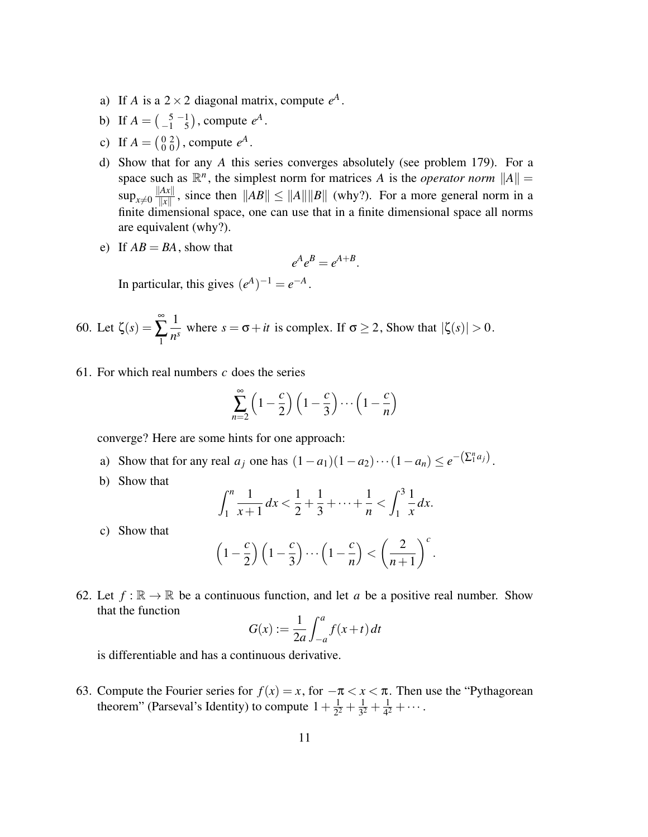- a) If *A* is a  $2 \times 2$  diagonal matrix, compute  $e^A$ .
- b) If  $A = \begin{pmatrix} 5 & -1 \\ -1 & 5 \end{pmatrix}$ , compute  $e^A$ .
- c) If  $A = \begin{pmatrix} 0 & 2 \\ 0 & 0 \end{pmatrix}$ , compute  $e^A$ .
- d) Show that for any *A* this series converges absolutely (see problem 179). For a space such as  $\mathbb{R}^n$ , the simplest norm for matrices *A* is the *operator norm*  $||A|| =$  $\sup_{x\neq 0} \frac{\|Ax\|}{\|x\|}$  $\frac{A\mathcal{X}_{\parallel}}{\Vert x \Vert}$ , since then  $\Vert AB \Vert \le \Vert A \Vert \Vert B \Vert$  (why?). For a more general norm in a finite dimensional space, one can use that in a finite dimensional space all norms are equivalent (why?).
- e) If  $AB = BA$ , show that

$$
e^A e^B = e^{A+B}.
$$

In particular, this gives  $(e^A)^{-1} = e^{-A}$ .

60. Let 
$$
\zeta(s) = \sum_{1}^{\infty} \frac{1}{n^s}
$$
 where  $s = \sigma + it$  is complex. If  $\sigma \ge 2$ , Show that  $|\zeta(s)| > 0$ .

61. For which real numbers *c* does the series

$$
\sum_{n=2}^{\infty} \left(1 - \frac{c}{2}\right) \left(1 - \frac{c}{3}\right) \cdots \left(1 - \frac{c}{n}\right)
$$

converge? Here are some hints for one approach:

- a) Show that for any real  $a_j$  one has  $(1-a_1)(1-a_2)\cdots(1-a_n) \leq e^{-\left(\sum_{i=1}^{n} a_i\right)}$ .
- b) Show that

$$
\int_1^n \frac{1}{x+1} dx < \frac{1}{2} + \frac{1}{3} + \dots + \frac{1}{n} < \int_1^3 \frac{1}{x} dx.
$$

c) Show that

$$
\left(1-\frac{c}{2}\right)\left(1-\frac{c}{3}\right)\cdots\left(1-\frac{c}{n}\right) < \left(\frac{2}{n+1}\right)^c.
$$

62. Let  $f : \mathbb{R} \to \mathbb{R}$  be a continuous function, and let *a* be a positive real number. Show that the function

$$
G(x) := \frac{1}{2a} \int_{-a}^{a} f(x+t) dt
$$

is differentiable and has a continuous derivative.

63. Compute the Fourier series for  $f(x) = x$ , for  $-\pi < x < \pi$ . Then use the "Pythagorean" theorem" (Parseval's Identity) to compute  $1 + \frac{1}{2^2}$  $rac{1}{2^2} + \frac{1}{3^2}$  $rac{1}{3^2} + \frac{1}{4^2}$  $\frac{1}{4^2} + \cdots$ .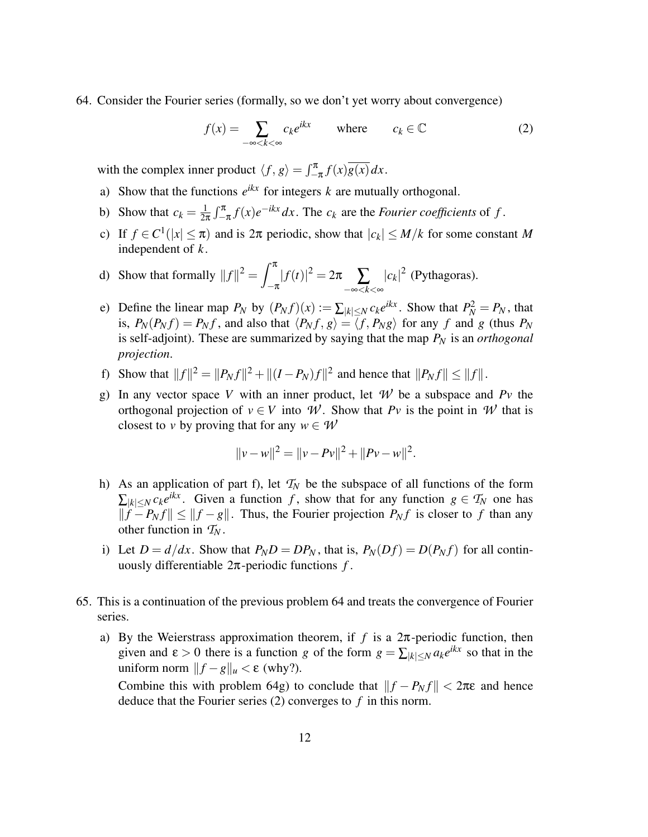64. Consider the Fourier series (formally, so we don't yet worry about convergence)

$$
f(x) = \sum_{-\infty < k < \infty} c_k e^{ikx} \qquad \text{where} \qquad c_k \in \mathbb{C} \tag{2}
$$

with the complex inner product  $\langle f, g \rangle = \int_{-\pi}^{\pi} f(x) \overline{g(x)} dx$ .

- a) Show that the functions  $e^{ikx}$  for integers  $k$  are mutually orthogonal.
- b) Show that  $c_k = \frac{1}{2i}$  $\frac{1}{2\pi} \int_{-\pi}^{\pi} f(x) e^{-ikx} dx$ . The  $c_k$  are the *Fourier coefficients* of *f*.
- c) If  $f \in C^1(|x| \leq \pi)$  and is  $2\pi$  periodic, show that  $|c_k| \leq M/k$  for some constant M independent of *k*.
- d) Show that formally  $||f||^2 = \int_0^{\pi}$  $-\pi$  $|f(t)|^2 = 2π \sum_{-\infty < k < \infty}$  $|c_k|^2$  (Pythagoras).
- e) Define the linear map  $P_N$  by  $(P_N f)(x) := \sum_{|k| \le N} c_k e^{ikx}$ . Show that  $P_N^2 = P_N$ , that is,  $P_N(P_N f) = P_N f$ , and also that  $\langle P_N f, g \rangle = \langle f, P_N g \rangle$  for any *f* and *g* (thus  $P_N$ is self-adjoint). These are summarized by saying that the map *P<sup>N</sup>* is an *orthogonal projection*.
- f) Show that  $||f||^2 = ||P_N f||^2 + ||(I P_N)f||^2$  and hence that  $||P_N f|| \le ||f||$ .
- g) In any vector space *V* with an inner product, let *W* be a subspace and *Pv* the orthogonal projection of  $v \in V$  into *W*. Show that *Pv* is the point in *W* that is closest to *v* by proving that for any  $w \in W$

$$
||v - w||2 = ||v - Pv||2 + ||Pv - w||2.
$$

- h) As an application of part f), let  $T_N$  be the subspace of all functions of the form  $\sum_{|k| \le N} c_k e^{ikx}$ . Given a function *f*, show that for any function  $g \in T_N$  one has  $||f - P_N f|| \le ||f - g||$ . Thus, the Fourier projection  $P_N f$  is closer to *f* than any other function in  $T_N$ .
- i) Let  $D = d/dx$ . Show that  $P_N D = D P_N$ , that is,  $P_N(Df) = D(P_N f)$  for all continuously differentiable 2π-periodic functions *f* .
- 65. This is a continuation of the previous problem 64 and treats the convergence of Fourier series.
	- a) By the Weierstrass approximation theorem, if  $f$  is a  $2\pi$ -periodic function, then given and  $\varepsilon > 0$  there is a function *g* of the form  $g = \sum_{|k| \le N} a_k e^{ikx}$  so that in the uniform norm  $||f - g||_u < ε$  (why?).

Combine this with problem 64g) to conclude that  $||f - P_N f|| < 2\pi\varepsilon$  and hence deduce that the Fourier series (2) converges to *f* in this norm.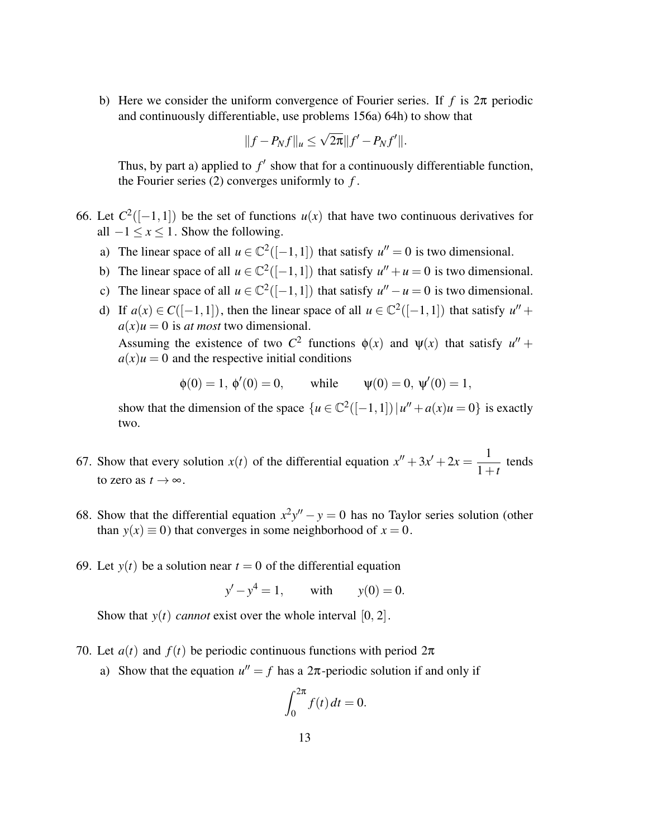b) Here we consider the uniform convergence of Fourier series. If *f* is 2π periodic and continuously differentiable, use problems 156a) 64h) to show that

$$
||f - P_N f||_u \le \sqrt{2\pi} ||f' - P_N f'||.
$$

Thus, by part a) applied to  $f'$  show that for a continuously differentiable function, the Fourier series (2) converges uniformly to *f* .

- 66. Let  $C^2([-1,1])$  be the set of functions  $u(x)$  that have two continuous derivatives for all  $-1 \le x \le 1$ . Show the following.
	- a) The linear space of all  $u \in \mathbb{C}^2([-1,1])$  that satisfy  $u'' = 0$  is two dimensional.
	- b) The linear space of all  $u \in \mathbb{C}^2([-1,1])$  that satisfy  $u'' + u = 0$  is two dimensional.
	- c) The linear space of all  $u \in \mathbb{C}^2([-1,1])$  that satisfy  $u'' u = 0$  is two dimensional.
	- d) If  $a(x) \in C([-1, 1])$ , then the linear space of all  $u \in \mathbb{C}^2([-1, 1])$  that satisfy  $u'' +$  $a(x)u = 0$  is *at most* two dimensional. Assuming the existence of two  $C^2$  functions  $\phi(x)$  and  $\psi(x)$  that satisfy  $u'' +$  $a(x)u = 0$  and the respective initial conditions

$$
\phi(0) = 1, \ \phi'(0) = 0,
$$
 while  $\psi(0) = 0, \ \psi'(0) = 1,$ 

show that the dimension of the space  $\{u \in \mathbb{C}^2([-1,1]) | u'' + a(x)u = 0\}$  is exactly two.

- 67. Show that every solution  $x(t)$  of the differential equation  $x'' + 3x' + 2x = \frac{1}{1 + x}$  $\frac{1}{1+t}$  tends to zero as  $t \to \infty$ .
- 68. Show that the differential equation  $x^2y'' y = 0$  has no Taylor series solution (other than  $y(x) \equiv 0$ ) that converges in some neighborhood of  $x = 0$ .
- 69. Let  $y(t)$  be a solution near  $t = 0$  of the differential equation

$$
y'-y^4 = 1
$$
, with  $y(0) = 0$ .

Show that  $y(t)$  *cannot* exist over the whole interval  $[0, 2]$ .

- 70. Let  $a(t)$  and  $f(t)$  be periodic continuous functions with period  $2\pi$ 
	- a) Show that the equation  $u'' = f$  has a  $2\pi$ -periodic solution if and only if

$$
\int_0^{2\pi} f(t) \, dt = 0.
$$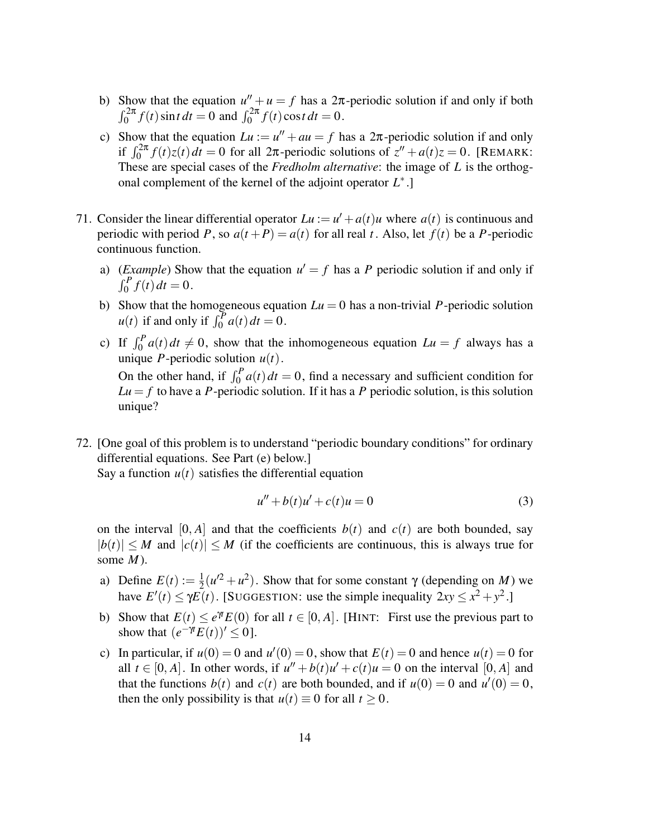- b) Show that the equation  $u'' + u = f$  has a  $2\pi$ -periodic solution if and only if both  $\int_0^{2\pi} f(t) \sin t \, dt = 0$  and  $\int_0^{2\pi} f(t) \cos t \, dt = 0$ .
- c) Show that the equation  $Lu := u'' + au = f$  has a  $2\pi$ -periodic solution if and only if  $\int_0^{2\pi} f(t)z(t) dt = 0$  for all  $2\pi$ -periodic solutions of  $z'' + a(t)z = 0$ . [REMARK: These are special cases of the *Fredholm alternative*: the image of *L* is the orthogonal complement of the kernel of the adjoint operator *L* ∗ .]
- 71. Consider the linear differential operator  $Lu := u' + a(t)u$  where  $a(t)$  is continuous and periodic with period *P*, so  $a(t+P) = a(t)$  for all real *t*. Also, let  $f(t)$  be a *P*-periodic continuous function.
	- a) (*Example*) Show that the equation  $u' = f$  has a *P* periodic solution if and only if  $\int_0^P f(t) dt = 0.$
	- b) Show that the homogeneous equation  $Lu = 0$  has a non-trivial *P*-periodic solution  $u(t)$  if and only if  $\int_0^P a(t) dt = 0$ .
	- c) If  $\int_0^P a(t) dt \neq 0$ , show that the inhomogeneous equation  $Lu = f$  always has a unique *P*-periodic solution  $u(t)$ . On the other hand, if  $\int_0^P a(t) dt = 0$ , find a necessary and sufficient condition for  $Lu = f$  to have a *P*-periodic solution. If it has a *P* periodic solution, is this solution unique?
- 72. [One goal of this problem is to understand "periodic boundary conditions" for ordinary differential equations. See Part (e) below.]

Say a function  $u(t)$  satisfies the differential equation

$$
u'' + b(t)u' + c(t)u = 0
$$
\n(3)

on the interval  $[0, A]$  and that the coefficients  $b(t)$  and  $c(t)$  are both bounded, say  $|b(t)| \leq M$  and  $|c(t)| \leq M$  (if the coefficients are continuous, this is always true for some *M*).

- a) Define  $E(t) := \frac{1}{2}$  $\frac{1}{2}(u^2 + u^2)$ . Show that for some constant  $\gamma$  (depending on *M*) we have  $E'(t) \le \gamma E(t)$ . [SUGGESTION: use the simple inequality  $2xy \le x^2 + y^2$ .]
- b) Show that  $E(t) \leq e^{\gamma t} E(0)$  for all  $t \in [0, A]$ . [HINT: First use the previous part to show that  $(e^{-\gamma t}E(t))' \leq 0$ ].
- c) In particular, if  $u(0) = 0$  and  $u'(0) = 0$ , show that  $E(t) = 0$  and hence  $u(t) = 0$  for all  $t \in [0, A]$ . In other words, if  $u'' + b(t)u' + c(t)u = 0$  on the interval  $[0, A]$  and that the functions  $b(t)$  and  $c(t)$  are both bounded, and if  $u(0) = 0$  and  $u'(0) = 0$ , then the only possibility is that  $u(t) \equiv 0$  for all  $t > 0$ .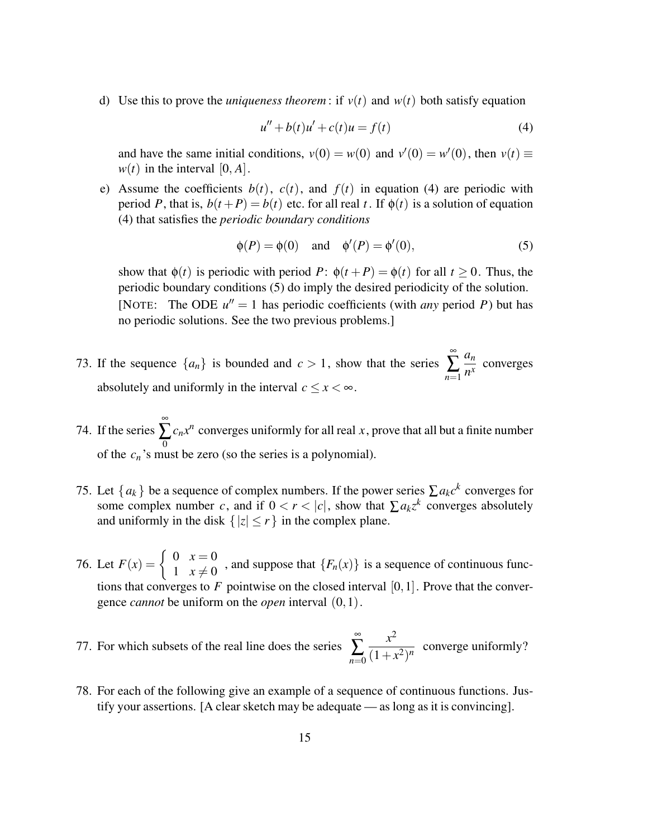d) Use this to prove the *uniqueness theorem*: if  $v(t)$  and  $w(t)$  both satisfy equation

$$
u'' + b(t)u' + c(t)u = f(t)
$$
\n(4)

and have the same initial conditions,  $v(0) = w(0)$  and  $v'(0) = w'(0)$ , then  $v(t) \equiv$  $w(t)$  in the interval [0, *A*].

e) Assume the coefficients  $b(t)$ ,  $c(t)$ , and  $f(t)$  in equation (4) are periodic with period *P*, that is,  $b(t+P) = b(t)$  etc. for all real *t*. If  $\phi(t)$  is a solution of equation (4) that satisfies the *periodic boundary conditions*

$$
\phi(P) = \phi(0) \quad \text{and} \quad \phi'(P) = \phi'(0), \tag{5}
$$

show that  $\phi(t)$  is periodic with period *P*:  $\phi(t + P) = \phi(t)$  for all  $t > 0$ . Thus, the periodic boundary conditions (5) do imply the desired periodicity of the solution. [NOTE: The ODE  $u'' = 1$  has periodic coefficients (with *any* period *P*) but has no periodic solutions. See the two previous problems.]

- 73. If the sequence  $\{a_n\}$  is bounded and  $c > 1$ , show that the series ∞ ∑ *n*=1 *an*  $\frac{\partial u_n}{\partial x}$  converges absolutely and uniformly in the interval  $c \leq x < \infty$ .
- 74. If the series ∞  $\sum_{\mathbf{0}}$  $c_n x^n$  converges uniformly for all real *x*, prove that all but a finite number of the *c<sup>n</sup>* 's must be zero (so the series is a polynomial).
- 75. Let  $\{a_k\}$  be a sequence of complex numbers. If the power series  $\sum a_k c^k$  converges for some complex number *c*, and if  $0 < r < |c|$ , show that  $\sum a_k z^k$  converges absolutely and uniformly in the disk  $\{|z| \le r\}$  in the complex plane.
- 76. Let  $F(x) = \begin{cases} 0 & x = 0 \\ 1 & x \neq 0 \end{cases}$  $\frac{1}{1}$   $\frac{x}{2}$   $\neq$  0 , and suppose that  $\{F_n(x)\}\)$  is a sequence of continuous functions that converges to  $F$  pointwise on the closed interval  $[0,1]$ . Prove that the convergence *cannot* be uniform on the *open* interval (0,1).
- 77. For which subsets of the real line does the series ∞ ∑ *n*=0 *x* 2  $\frac{x}{(1+x^2)^n}$  converge uniformly?
- 78. For each of the following give an example of a sequence of continuous functions. Justify your assertions. [A clear sketch may be adequate — as long as it is convincing].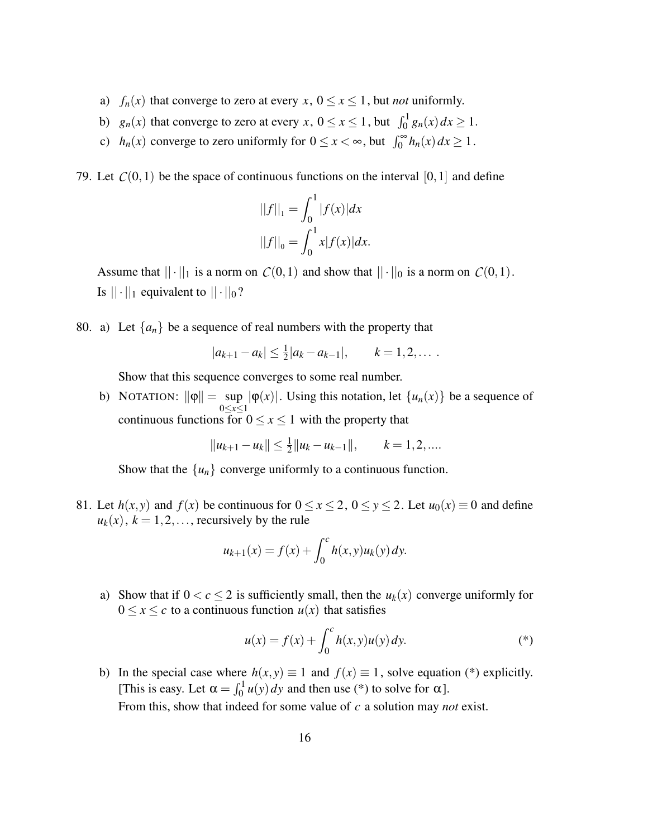- a) *f<sub>n</sub>*(*x*) that converge to zero at every *x*,  $0 \le x \le 1$ , but *not* uniformly.
- b)  $g_n(x)$  that converge to zero at every  $x, 0 \le x \le 1$ , but  $\int_0^1 g_n(x) dx \ge 1$ .
- c)  $h_n(x)$  converge to zero uniformly for  $0 \le x < \infty$ , but  $\int_0^\infty h_n(x) dx \ge 1$ .

79. Let  $C(0,1)$  be the space of continuous functions on the interval [0,1] and define

$$
||f||_1 = \int_0^1 |f(x)| dx
$$
  

$$
||f||_0 = \int_0^1 x|f(x)| dx.
$$

Assume that  $||\cdot||_1$  is a norm on  $C(0,1)$  and show that  $||\cdot||_0$  is a norm on  $C(0,1)$ . Is  $|| \cdot ||_1$  equivalent to  $|| \cdot ||_0$ ?

80. a) Let  $\{a_n\}$  be a sequence of real numbers with the property that

$$
|a_{k+1}-a_k| \leq \frac{1}{2}|a_k-a_{k-1}|, \qquad k=1,2,\ldots.
$$

Show that this sequence converges to some real number.

b) NOTATION:  $\|\varphi\| = \sup$ 0≤*x*≤1  $|\varphi(x)|$ . Using this notation, let  $\{u_n(x)\}\$ be a sequence of continuous functions for  $0 \le x \le 1$  with the property that

$$
||u_{k+1}-u_k|| \leq \frac{1}{2}||u_k-u_{k-1}||, \qquad k=1,2,...
$$

Show that the  $\{u_n\}$  converge uniformly to a continuous function.

81. Let  $h(x, y)$  and  $f(x)$  be continuous for  $0 \le x \le 2$ ,  $0 \le y \le 2$ . Let  $u_0(x) \equiv 0$  and define  $u_k(x)$ ,  $k = 1, 2, \ldots$ , recursively by the rule

$$
u_{k+1}(x) = f(x) + \int_0^c h(x, y) u_k(y) \, dy.
$$

a) Show that if  $0 < c \leq 2$  is sufficiently small, then the  $u_k(x)$  converge uniformly for  $0 \le x \le c$  to a continuous function  $u(x)$  that satisfies

$$
u(x) = f(x) + \int_0^c h(x, y)u(y) \, dy. \tag{*}
$$

b) In the special case where  $h(x, y) \equiv 1$  and  $f(x) \equiv 1$ , solve equation (\*) explicitly. [This is easy. Let  $\alpha = \int_0^1 u(y) dy$  and then use (\*) to solve for  $\alpha$ ]. From this, show that indeed for some value of *c* a solution may *not* exist.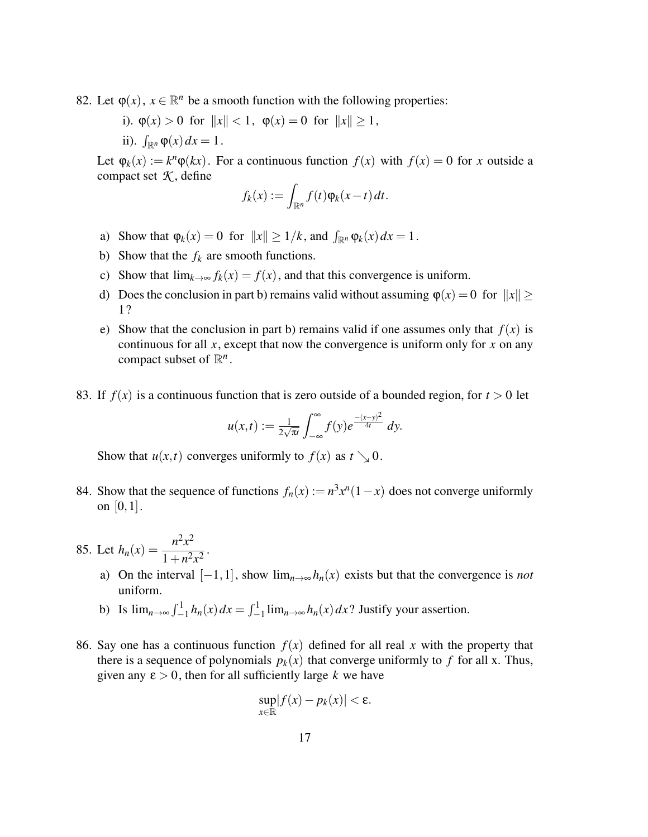- 82. Let  $\varphi(x)$ ,  $x \in \mathbb{R}^n$  be a smooth function with the following properties:
	- i).  $\varphi(x) > 0$  for  $||x|| < 1$ ,  $\varphi(x) = 0$  for  $||x|| \ge 1$ ,
	- ii).  $\int_{\mathbb{R}^n} \varphi(x) dx = 1$ .

Let  $\varphi_k(x) := k^n \varphi(kx)$ . For a continuous function  $f(x)$  with  $f(x) = 0$  for *x* outside a compact set  $K$ , define

$$
f_k(x) := \int_{\mathbb{R}^n} f(t) \varphi_k(x-t) dt.
$$

- a) Show that  $\varphi_k(x) = 0$  for  $||x|| \ge 1/k$ , and  $\int_{\mathbb{R}^n} \varphi_k(x) dx = 1$ .
- b) Show that the  $f_k$  are smooth functions.
- c) Show that  $\lim_{k \to \infty} f_k(x) = f(x)$ , and that this convergence is uniform.
- d) Does the conclusion in part b) remains valid without assuming  $\varphi(x) = 0$  for  $||x|| \ge$ 1?
- e) Show that the conclusion in part b) remains valid if one assumes only that  $f(x)$  is continuous for all *x*, except that now the convergence is uniform only for *x* on any compact subset of  $\mathbb{R}^n$ .
- 83. If  $f(x)$  is a continuous function that is zero outside of a bounded region, for  $t > 0$  let

$$
u(x,t) := \frac{1}{2\sqrt{\pi t}} \int_{-\infty}^{\infty} f(y) e^{\frac{-(x-y)^2}{4t}} dy.
$$

Show that  $u(x,t)$  converges uniformly to  $f(x)$  as  $t \searrow 0$ .

84. Show that the sequence of functions  $f_n(x) := n^3 x^n (1-x)$  does not converge uniformly on [0,1].

85. Let 
$$
h_n(x) = \frac{n^2 x^2}{1 + n^2 x^2}
$$
.

- a) On the interval  $[-1,1]$ , show  $\lim_{n\to\infty} h_n(x)$  exists but that the convergence is *not* uniform.
- b) Is  $\lim_{n\to\infty} \int_{-1}^{1} h_n(x) dx = \int_{-1}^{1} \lim_{n\to\infty} h_n(x) dx$ ? Justify your assertion.
- 86. Say one has a continuous function  $f(x)$  defined for all real x with the property that there is a sequence of polynomials  $p_k(x)$  that converge uniformly to f for all x. Thus, given any  $\varepsilon > 0$ , then for all sufficiently large k we have

$$
\sup_{x\in\mathbb{R}}|f(x)-p_k(x)|<\varepsilon.
$$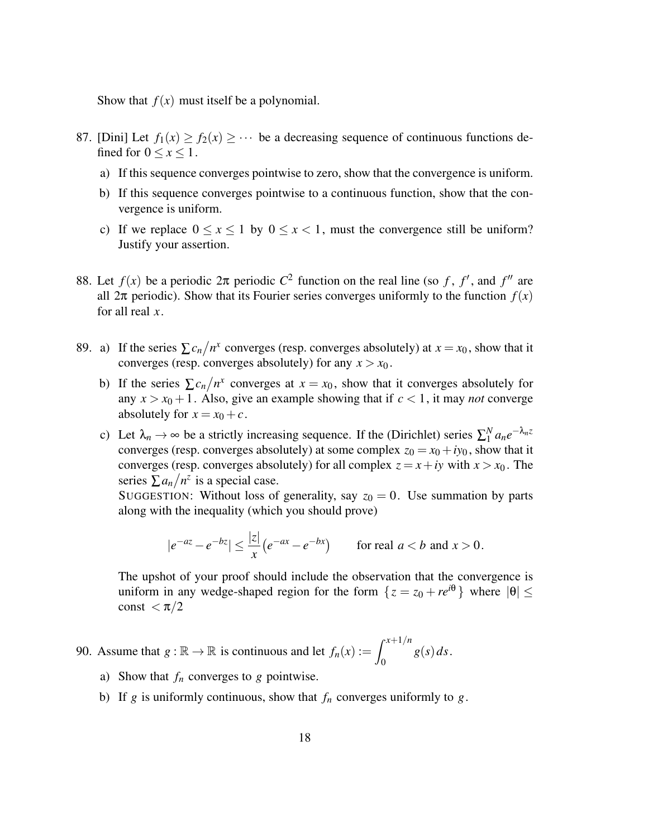Show that  $f(x)$  must itself be a polynomial.

- 87. [Dini] Let  $f_1(x) \ge f_2(x) \ge \cdots$  be a decreasing sequence of continuous functions defined for  $0 \leq x \leq 1$ .
	- a) If this sequence converges pointwise to zero, show that the convergence is uniform.
	- b) If this sequence converges pointwise to a continuous function, show that the convergence is uniform.
	- c) If we replace  $0 \le x \le 1$  by  $0 \le x < 1$ , must the convergence still be uniform? Justify your assertion.
- 88. Let  $f(x)$  be a periodic  $2π$  periodic  $C^2$  function on the real line (so f, f', and f'' are all  $2\pi$  periodic). Show that its Fourier series converges uniformly to the function  $f(x)$ for all real *x*.
- 89. a) If the series  $\sum c_n/n^x$  converges (resp. converges absolutely) at  $x = x_0$ , show that it converges (resp. converges absolutely) for any  $x > x_0$ .
	- b) If the series  $\sum c_n/n^x$  converges at  $x = x_0$ , show that it converges absolutely for any  $x > x_0 + 1$ . Also, give an example showing that if  $c < 1$ , it may *not* converge absolutely for  $x = x_0 + c$ .
	- c) Let  $\lambda_n \to \infty$  be a strictly increasing sequence. If the (Dirichlet) series  $\sum_1^N$  $\int_1^N a_n e^{-\lambda_n z}$ converges (resp. converges absolutely) at some complex  $z_0 = x_0 + iy_0$ , show that it converges (resp. converges absolutely) for all complex  $z = x + iy$  with  $x > x_0$ . The series  $\sum a_n / n^z$  is a special case.

SUGGESTION: Without loss of generality, say  $z_0 = 0$ . Use summation by parts along with the inequality (which you should prove)

$$
|e^{-az} - e^{-bz}| \le \frac{|z|}{x} \left( e^{-ax} - e^{-bx} \right) \qquad \text{for real } a < b \text{ and } x > 0.
$$

The upshot of your proof should include the observation that the convergence is uniform in any wedge-shaped region for the form  $\{z = z_0 + re^{i\theta}\}\$  where  $|\theta| \leq$ const  $<\pi/2$ 

90. Assume that  $g : \mathbb{R} \to \mathbb{R}$  is continuous and let  $f_n(x) := \int^{x+1/n}$ 0 *g*(*s*)*ds*.

- a) Show that *f<sup>n</sup>* converges to *g* pointwise.
- b) If *g* is uniformly continuous, show that  $f_n$  converges uniformly to *g*.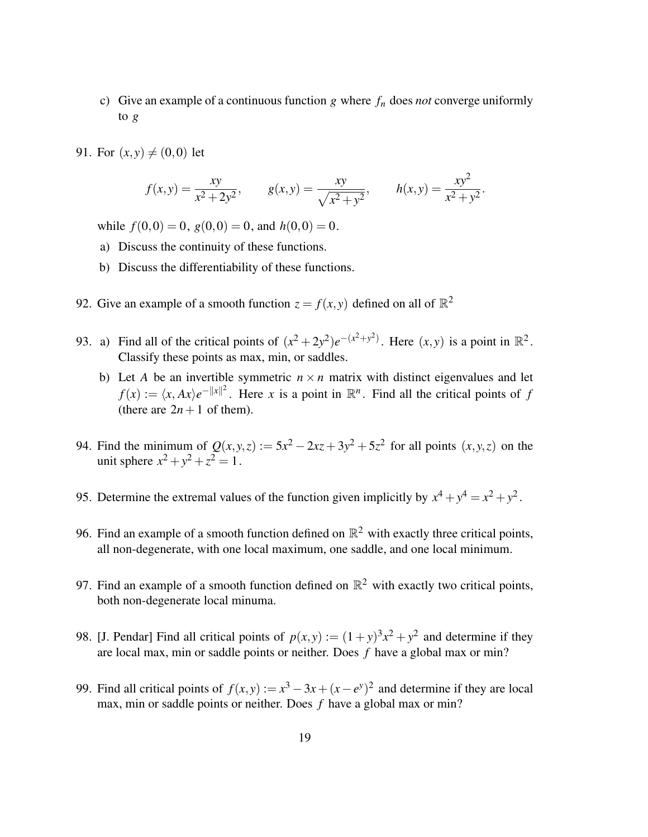- c) Give an example of a continuous function *g* where *f<sup>n</sup>* does *not* converge uniformly to *g*
- 91. For  $(x, y) \neq (0, 0)$  let

$$
f(x,y) = \frac{xy}{x^2 + 2y^2}, \qquad g(x,y) = \frac{xy}{\sqrt{x^2 + y^2}}, \qquad h(x,y) = \frac{xy^2}{x^2 + y^2}.
$$

while  $f(0,0) = 0$ ,  $g(0,0) = 0$ , and  $h(0,0) = 0$ .

- a) Discuss the continuity of these functions.
- b) Discuss the differentiability of these functions.
- 92. Give an example of a smooth function  $z = f(x, y)$  defined on all of  $\mathbb{R}^2$
- 93. a) Find all of the critical points of  $(x^2 + 2y^2)e^{-(x^2 + y^2)}$ . Here  $(x, y)$  is a point in  $\mathbb{R}^2$ . Classify these points as max, min, or saddles.
	- b) Let *A* be an invertible symmetric  $n \times n$  matrix with distinct eigenvalues and let  $f(x) := \langle x, Ax \rangle e^{-\|x\|^2}$ . Here *x* is a point in  $\mathbb{R}^n$ . Find all the critical points of *f* (there are  $2n+1$  of them).
- 94. Find the minimum of  $Q(x, y, z) := 5x^2 2xz + 3y^2 + 5z^2$  for all points  $(x, y, z)$  on the unit sphere  $x^2 + y^2 + z^2 = 1$ .
- 95. Determine the extremal values of the function given implicitly by  $x^4 + y^4 = x^2 + y^2$ .
- 96. Find an example of a smooth function defined on  $\mathbb{R}^2$  with exactly three critical points, all non-degenerate, with one local maximum, one saddle, and one local minimum.
- 97. Find an example of a smooth function defined on  $\mathbb{R}^2$  with exactly two critical points, both non-degenerate local minuma.
- 98. [J. Pendar] Find all critical points of  $p(x, y) := (1 + y)^3 x^2 + y^2$  and determine if they are local max, min or saddle points or neither. Does *f* have a global max or min?
- 99. Find all critical points of  $f(x, y) := x^3 3x + (x e^y)^2$  and determine if they are local max, min or saddle points or neither. Does *f* have a global max or min?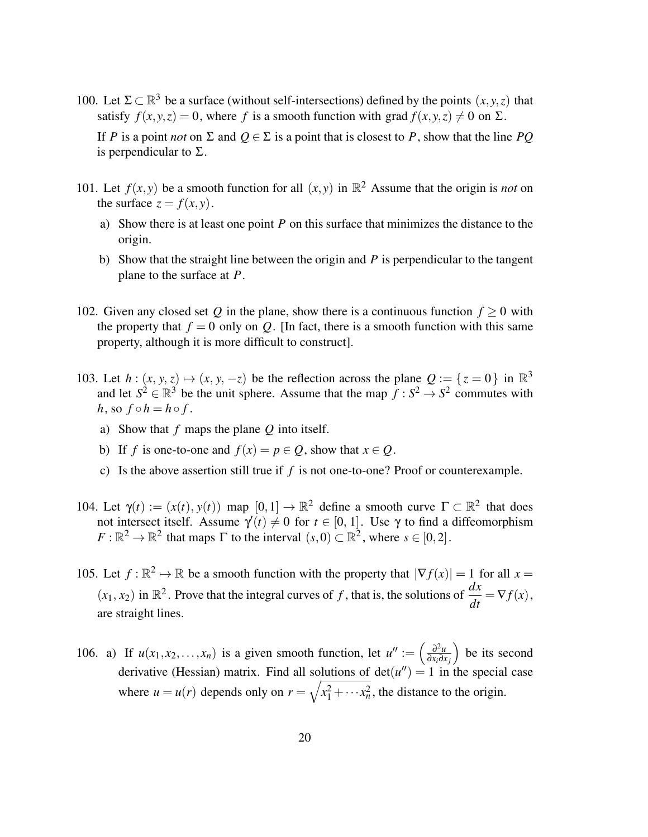- 100. Let  $\Sigma \subset \mathbb{R}^3$  be a surface (without self-intersections) defined by the points  $(x, y, z)$  that satisfy  $f(x, y, z) = 0$ , where f is a smooth function with grad  $f(x, y, z) \neq 0$  on  $\Sigma$ . If *P* is a point *not* on  $\Sigma$  and  $O \in \Sigma$  is a point that is closest to *P*, show that the line *PO* is perpendicular to  $\Sigma$ .
- 101. Let  $f(x, y)$  be a smooth function for all  $(x, y)$  in  $\mathbb{R}^2$  Assume that the origin is *not* on the surface  $z = f(x, y)$ .
	- a) Show there is at least one point *P* on this surface that minimizes the distance to the origin.
	- b) Show that the straight line between the origin and *P* is perpendicular to the tangent plane to the surface at *P*.
- 102. Given any closed set Q in the plane, show there is a continuous function  $f \ge 0$  with the property that  $f = 0$  only on *Q*. [In fact, there is a smooth function with this same property, although it is more difficult to construct].
- 103. Let  $h: (x, y, z) \mapsto (x, y, -z)$  be the reflection across the plane  $Q := \{z = 0\}$  in  $\mathbb{R}^3$ and let  $S^2 \in \mathbb{R}^3$  be the unit sphere. Assume that the map  $f : S^2 \to S^2$  commutes with  $h,$  so  $f \circ h = h \circ f$ .
	- a) Show that *f* maps the plane *Q* into itself.
	- b) If *f* is one-to-one and  $f(x) = p \in Q$ , show that  $x \in Q$ .
	- c) Is the above assertion still true if *f* is not one-to-one? Proof or counterexample.
- 104. Let  $\gamma(t) := (x(t), y(t))$  map  $[0, 1] \to \mathbb{R}^2$  define a smooth curve  $\Gamma \subset \mathbb{R}^2$  that does not intersect itself. Assume  $\gamma'(t) \neq 0$  for  $t \in [0, 1]$ . Use  $\gamma$  to find a diffeomorphism  $F: \mathbb{R}^2 \to \mathbb{R}^2$  that maps  $\Gamma$  to the interval  $(s, 0) \subset \mathbb{R}^2$ , where  $s \in [0, 2]$ .
- 105. Let  $f : \mathbb{R}^2 \to \mathbb{R}$  be a smooth function with the property that  $|\nabla f(x)| = 1$  for all  $x =$  $(x_1, x_2)$  in  $\mathbb{R}^2$ . Prove that the integral curves of *f*, that is, the solutions of  $\frac{dx}{dt} = \nabla f(x)$ , are straight lines.
- 106. a) If  $u(x_1, x_2,...,x_n)$  is a given smooth function, let  $u'' := \left(\frac{\partial^2 u}{\partial x_i \partial x_i}\right)^2$ ∂*xi*∂*x j* be its second derivative (Hessian) matrix. Find all solutions of  $det(u'') = 1$  in the special case where  $u = u(r)$  depends only on  $r = \sqrt{x_1^2 + \cdots + x_n^2}$ , the distance to the origin.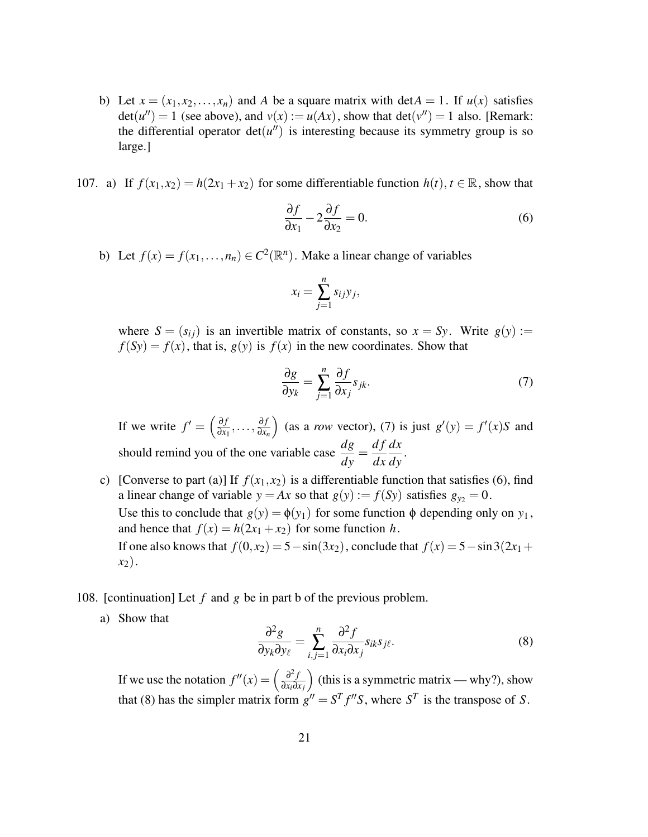- b) Let  $x = (x_1, x_2, \ldots, x_n)$  and A be a square matrix with det $A = 1$ . If  $u(x)$  satisfies  $det(u'') = 1$  (see above), and  $v(x) := u(Ax)$ , show that  $det(v'') = 1$  also. [Remark: the differential operator  $det(u'')$  is interesting because its symmetry group is so large.]
- 107. a) If  $f(x_1, x_2) = h(2x_1 + x_2)$  for some differentiable function  $h(t)$ ,  $t \in \mathbb{R}$ , show that

$$
\frac{\partial f}{\partial x_1} - 2\frac{\partial f}{\partial x_2} = 0.
$$
 (6)

b) Let  $f(x) = f(x_1,...,n_n) \in C^2(\mathbb{R}^n)$ . Make a linear change of variables

$$
x_i = \sum_{j=1}^n s_{ij} y_j,
$$

where  $S = (s_{ij})$  is an invertible matrix of constants, so  $x = Sy$ . Write  $g(y) :=$  $f(Sy) = f(x)$ , that is,  $g(y)$  is  $f(x)$  in the new coordinates. Show that

$$
\frac{\partial g}{\partial y_k} = \sum_{j=1}^n \frac{\partial f}{\partial x_j} s_{jk}.
$$
 (7)

If we write  $f' = \left(\frac{\partial f}{\partial x}\right)$  $\frac{\partial f}{\partial x_1},\ldots,\frac{\partial f}{\partial x_n}$ ∂*xn* (as a *row* vector), (7) is just  $g'(y) = f'(x)S$  and should remind you of the one variable case  $\frac{dg}{dy}$ = *d f dx dx*  $\frac{dx}{dy}$ .

- c) [Converse to part (a)] If  $f(x_1, x_2)$  is a differentiable function that satisfies (6), find a linear change of variable  $y = Ax$  so that  $g(y) := f(Sy)$  satisfies  $g_{y_2} = 0$ . Use this to conclude that  $g(y) = \phi(y_1)$  for some function  $\phi$  depending only on  $y_1$ , and hence that  $f(x) = h(2x_1 + x_2)$  for some function *h*. If one also knows that  $f(0, x_2) = 5 - \sin(3x_2)$ , conclude that  $f(x) = 5 - \sin(3(2x_1 +$ *x*2).
- 108. [continuation] Let *f* and *g* be in part b of the previous problem.
	- a) Show that

$$
\frac{\partial^2 g}{\partial y_k \partial y_\ell} = \sum_{i,j=1}^n \frac{\partial^2 f}{\partial x_i \partial x_j} s_{ik} s_{j\ell}.
$$
 (8)

If we use the notation  $f''(x) = \left(\frac{\partial^2 f}{\partial x \partial y}\right)^2$ ∂*xi*∂*x j* (this is a symmetric matrix — why?), show that (8) has the simpler matrix form  $g'' = S^T f'' S$ , where  $S^T$  is the transpose of *S*.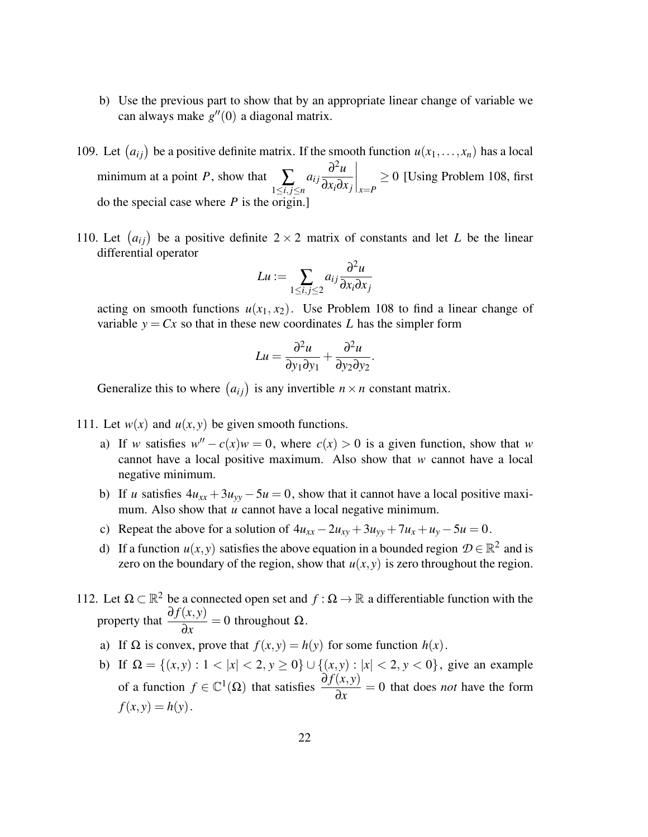- b) Use the previous part to show that by an appropriate linear change of variable we can always make  $g''(0)$  a diagonal matrix.
- 109. Let  $(a_{ij})$  be a positive definite matrix. If the smooth function  $u(x_1,...,x_n)$  has a local minimum at a point *P*, show that  $\sum_{1 \le i,j \le n}$  $a_{ij} \frac{\partial^2 u}{\partial x \partial y}$ ∂*xi*∂*x <sup>j</sup> x*=*P*  $\geq 0$  [Using Problem 108, first do the special case where *P* is the origin.]
- 110. Let  $(a_{ij})$  be a positive definite  $2 \times 2$  matrix of constants and let *L* be the linear differential operator

$$
Lu := \sum_{1 \le i,j \le 2} a_{ij} \frac{\partial^2 u}{\partial x_i \partial x_j}
$$

acting on smooth functions  $u(x_1, x_2)$ . Use Problem 108 to find a linear change of variable  $y = Cx$  so that in these new coordinates L has the simpler form

$$
Lu = \frac{\partial^2 u}{\partial y_1 \partial y_1} + \frac{\partial^2 u}{\partial y_2 \partial y_2}.
$$

Generalize this to where  $(a_{ij})$  is any invertible  $n \times n$  constant matrix.

- 111. Let  $w(x)$  and  $u(x, y)$  be given smooth functions.
	- a) If *w* satisfies  $w'' c(x)w = 0$ , where  $c(x) > 0$  is a given function, show that *w* cannot have a local positive maximum. Also show that *w* cannot have a local negative minimum.
	- b) If *u* satisfies  $4u_{xx} + 3u_{yy} 5u = 0$ , show that it cannot have a local positive maximum. Also show that *u* cannot have a local negative minimum.
	- c) Repeat the above for a solution of  $4u_{xx} 2u_{xy} + 3u_{yy} + 7u_x + u_y 5u = 0$ .
	- d) If a function  $u(x, y)$  satisfies the above equation in a bounded region  $\mathcal{D} \in \mathbb{R}^2$  and is zero on the boundary of the region, show that  $u(x, y)$  is zero throughout the region.
- 112. Let Ω ⊂  $\mathbb{R}^2$  be a connected open set and  $f : \Omega \to \mathbb{R}$  a differentiable function with the property that  $\frac{\partial f(x, y)}{\partial x}$ ∂*x*  $= 0$  throughout  $\Omega$ .
	- a) If  $\Omega$  is convex, prove that  $f(x, y) = h(y)$  for some function  $h(x)$ .
	- b) If  $\Omega = \{(x, y) : 1 < |x| < 2, y \ge 0\} \cup \{(x, y) : |x| < 2, y < 0\}$ , give an example of a function  $f \in \mathbb{C}^1(\Omega)$  that satisfies  $\frac{\partial f(x, y)}{\partial x}$ ∂*x* = 0 that does *not* have the form  $f(x, y) = h(y)$ .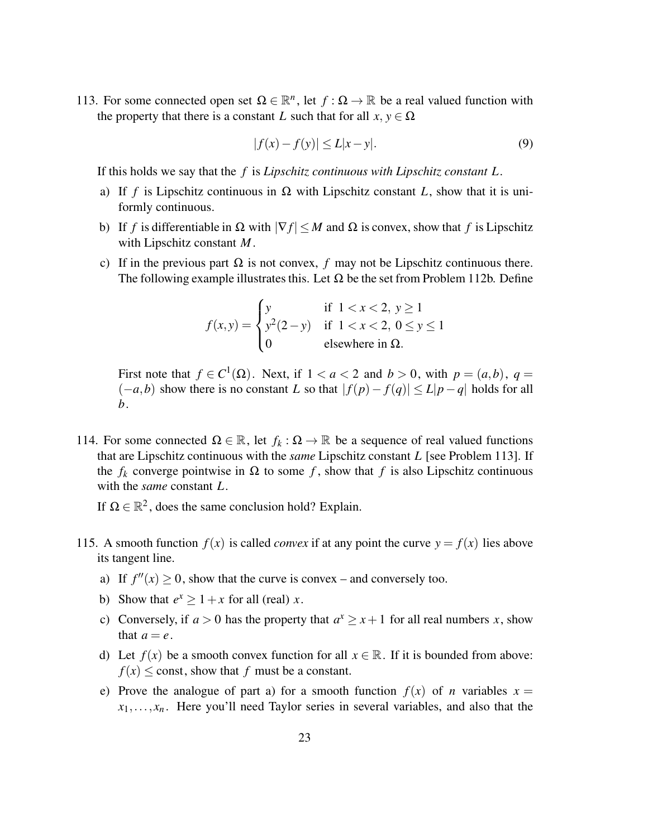113. For some connected open set  $\Omega \in \mathbb{R}^n$ , let  $f : \Omega \to \mathbb{R}$  be a real valued function with the property that there is a constant *L* such that for all  $x, y \in \Omega$ 

$$
|f(x) - f(y)| \le L|x - y|.
$$
 (9)

If this holds we say that the *f* is *Lipschitz continuous with Lipschitz constant L*.

- a) If *f* is Lipschitz continuous in  $\Omega$  with Lipschitz constant *L*, show that it is uniformly continuous.
- b) If *f* is differentiable in  $\Omega$  with  $|\nabla f| \leq M$  and  $\Omega$  is convex, show that *f* is Lipschitz with Lipschitz constant *M*.
- c) If in the previous part  $\Omega$  is not convex, f may not be Lipschitz continuous there. The following example illustrates this. Let  $\Omega$  be the set from Problem 112b. Define

$$
f(x,y) = \begin{cases} y & \text{if } 1 < x < 2, y \ge 1 \\ y^2(2-y) & \text{if } 1 < x < 2, 0 \le y \le 1 \\ 0 & \text{elsewhere in } \Omega. \end{cases}
$$

First note that  $f \in C^1(\Omega)$ . Next, if  $1 < a < 2$  and  $b > 0$ , with  $p = (a, b)$ ,  $q =$  $(-a,b)$  show there is no constant *L* so that  $|f(p) - f(q)| \le L|p-q|$  holds for all *b*.

114. For some connected  $\Omega \in \mathbb{R}$ , let  $f_k : \Omega \to \mathbb{R}$  be a sequence of real valued functions that are Lipschitz continuous with the *same* Lipschitz constant *L* [see Problem 113]. If the  $f_k$  converge pointwise in  $\Omega$  to some f, show that f is also Lipschitz continuous with the *same* constant *L*.

If  $\Omega \in \mathbb{R}^2$ , does the same conclusion hold? Explain.

- 115. A smooth function  $f(x)$  is called *convex* if at any point the curve  $y = f(x)$  lies above its tangent line.
	- a) If  $f''(x) \ge 0$ , show that the curve is convex and conversely too.
	- b) Show that  $e^x \ge 1 + x$  for all (real) *x*.
	- c) Conversely, if  $a > 0$  has the property that  $a^x \ge x + 1$  for all real numbers *x*, show that  $a = e$ .
	- d) Let  $f(x)$  be a smooth convex function for all  $x \in \mathbb{R}$ . If it is bounded from above:  $f(x)$  < const, show that *f* must be a constant.
	- e) Prove the analogue of part a) for a smooth function  $f(x)$  of *n* variables  $x =$  $x_1, \ldots, x_n$ . Here you'll need Taylor series in several variables, and also that the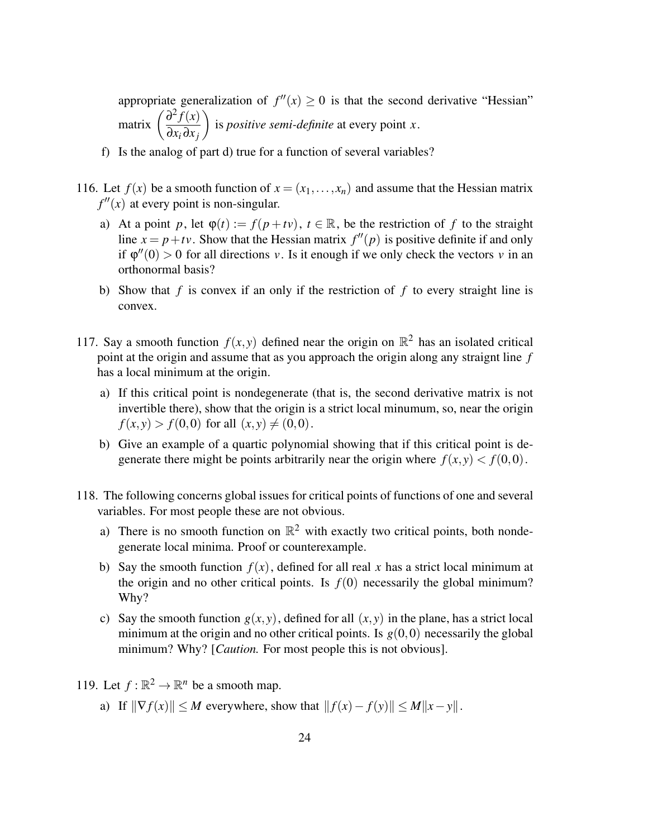appropriate generalization of  $f''(x) \geq 0$  is that the second derivative "Hessian" matrix  $\left(\frac{\partial^2 f(x)}{\partial x}\right)$ ∂*x<sup>i</sup>* ∂*x <sup>j</sup>*  $\setminus$ is *positive semi-definite* at every point *x*.

- f) Is the analog of part d) true for a function of several variables?
- 116. Let  $f(x)$  be a smooth function of  $x = (x_1, \ldots, x_n)$  and assume that the Hessian matrix  $f''(x)$  at every point is non-singular.
	- a) At a point *p*, let  $\varphi(t) := f(p + tv)$ ,  $t \in \mathbb{R}$ , be the restriction of *f* to the straight line  $x = p + tv$ . Show that the Hessian matrix  $f''(p)$  is positive definite if and only if  $\varphi''(0) > 0$  for all directions *v*. Is it enough if we only check the vectors *v* in an orthonormal basis?
	- b) Show that *f* is convex if an only if the restriction of *f* to every straight line is convex.
- 117. Say a smooth function  $f(x, y)$  defined near the origin on  $\mathbb{R}^2$  has an isolated critical point at the origin and assume that as you approach the origin along any straignt line *f* has a local minimum at the origin.
	- a) If this critical point is nondegenerate (that is, the second derivative matrix is not invertible there), show that the origin is a strict local minumum, so, near the origin  $f(x, y) > f(0, 0)$  for all  $(x, y) \neq (0, 0)$ .
	- b) Give an example of a quartic polynomial showing that if this critical point is degenerate there might be points arbitrarily near the origin where  $f(x, y) < f(0, 0)$ .
- 118. The following concerns global issues for critical points of functions of one and several variables. For most people these are not obvious.
	- a) There is no smooth function on  $\mathbb{R}^2$  with exactly two critical points, both nondegenerate local minima. Proof or counterexample.
	- b) Say the smooth function  $f(x)$ , defined for all real x has a strict local minimum at the origin and no other critical points. Is  $f(0)$  necessarily the global minimum? Why?
	- c) Say the smooth function  $g(x, y)$ , defined for all  $(x, y)$  in the plane, has a strict local minimum at the origin and no other critical points. Is  $g(0,0)$  necessarily the global minimum? Why? [*Caution.* For most people this is not obvious].
- 119. Let  $f : \mathbb{R}^2 \to \mathbb{R}^n$  be a smooth map.
	- a) If  $\|\nabla f(x)\| \le M$  everywhere, show that  $\|f(x) f(y)\| \le M\|x y\|$ .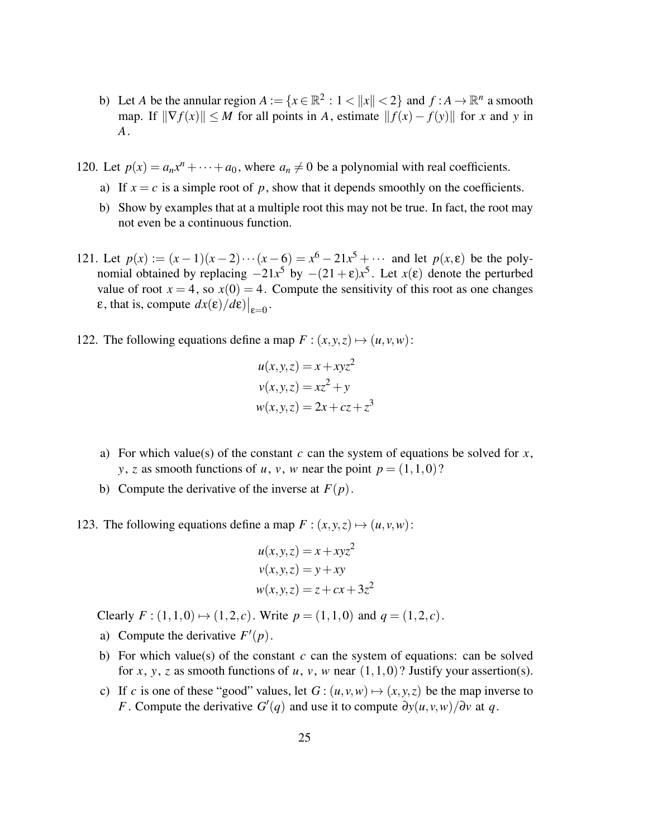- b) Let *A* be the annular region  $A := \{x \in \mathbb{R}^2 : 1 < ||x|| < 2\}$  and  $f : A \to \mathbb{R}^n$  a smooth map. If  $\|\nabla f(x)\| \leq M$  for all points in *A*, estimate  $\|f(x) - f(y)\|$  for *x* and *y* in *A*.
- 120. Let  $p(x) = a_n x^n + \cdots + a_0$ , where  $a_n \neq 0$  be a polynomial with real coefficients.
	- a) If  $x = c$  is a simple root of p, show that it depends smoothly on the coefficients.
	- b) Show by examples that at a multiple root this may not be true. In fact, the root may not even be a continuous function.
- 121. Let  $p(x) := (x-1)(x-2)\cdots(x-6) = x^6 21x^5 + \cdots$  and let  $p(x, \varepsilon)$  be the polynomial obtained by replacing  $-21x^5$  by  $-(21 + \varepsilon)x^5$ . Let  $x(\varepsilon)$  denote the perturbed value of root  $x = 4$ , so  $x(0) = 4$ . Compute the sensitivity of this root as one changes  $\mathbf{\varepsilon}$ , that is, compute  $dx(\mathbf{\varepsilon})/d\mathbf{\varepsilon})\big|_{\mathbf{\varepsilon}=0}$ .
- 122. The following equations define a map  $F : (x, y, z) \mapsto (u, v, w)$ :

$$
u(x, y, z) = x + xyz2
$$
  

$$
v(x, y, z) = xz2 + y
$$
  

$$
w(x, y, z) = 2x + cz + z3
$$

- a) For which value(s) of the constant *c* can the system of equations be solved for *x*, *y*, *z* as smooth functions of *u*, *v*, *w* near the point  $p = (1,1,0)$ ?
- b) Compute the derivative of the inverse at  $F(p)$ .
- 123. The following equations define a map  $F : (x, y, z) \mapsto (u, v, w)$ :

$$
u(x, y, z) = x + xyz2
$$
  

$$
v(x, y, z) = y + xy
$$
  

$$
w(x, y, z) = z + cx + 3z2
$$

Clearly  $F: (1,1,0) \mapsto (1,2,c)$ . Write  $p = (1,1,0)$  and  $q = (1,2,c)$ .

- a) Compute the derivative  $F'(p)$ .
- b) For which value(s) of the constant *c* can the system of equations: can be solved for *x*, *y*, *z* as smooth functions of *u*, *v*, *w* near  $(1,1,0)$ ? Justify your assertion(s).
- c) If *c* is one of these "good" values, let  $G: (u, v, w) \mapsto (x, y, z)$  be the map inverse to *F*. Compute the derivative  $G'(q)$  and use it to compute  $\partial y(u, v, w)/\partial v$  at q.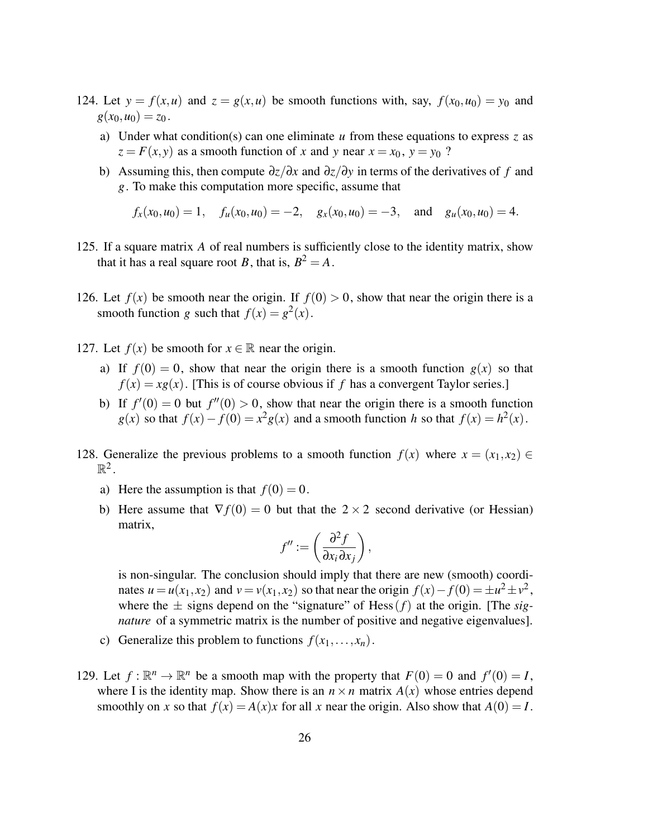- 124. Let  $y = f(x, u)$  and  $z = g(x, u)$  be smooth functions with, say,  $f(x_0, u_0) = y_0$  and  $g(x_0, u_0) = z_0$ .
	- a) Under what condition(s) can one eliminate *u* from these equations to express *z* as  $z = F(x, y)$  as a smooth function of *x* and *y* near  $x = x_0$ ,  $y = y_0$  ?
	- b) Assuming this, then compute ∂*z*/∂*x* and ∂*z*/∂*y* in terms of the derivatives of *f* and *g*. To make this computation more specific, assume that

$$
f_x(x_0, u_0) = 1
$$
,  $f_u(x_0, u_0) = -2$ ,  $g_x(x_0, u_0) = -3$ , and  $g_u(x_0, u_0) = 4$ .

- 125. If a square matrix *A* of real numbers is sufficiently close to the identity matrix, show that it has a real square root *B*, that is,  $B^2 = A$ .
- 126. Let  $f(x)$  be smooth near the origin. If  $f(0) > 0$ , show that near the origin there is a smooth function *g* such that  $f(x) = g^2(x)$ .
- 127. Let  $f(x)$  be smooth for  $x \in \mathbb{R}$  near the origin.
	- a) If  $f(0) = 0$ , show that near the origin there is a smooth function  $g(x)$  so that  $f(x) = xg(x)$ . [This is of course obvious if *f* has a convergent Taylor series.]
	- b) If  $f'(0) = 0$  but  $f''(0) > 0$ , show that near the origin there is a smooth function *g*(*x*) so that  $f(x) - f(0) = x^2 g(x)$  and a smooth function *h* so that  $f(x) = h^2(x)$ .
- 128. Generalize the previous problems to a smooth function  $f(x)$  where  $x = (x_1, x_2) \in$  $\mathbb{R}^2$ .
	- a) Here the assumption is that  $f(0) = 0$ .
	- b) Here assume that  $\nabla f(0) = 0$  but that the  $2 \times 2$  second derivative (or Hessian) matrix,

$$
f'':=\left(\frac{\partial^2 f}{\partial x_i \partial x_j}\right),\,
$$

is non-singular. The conclusion should imply that there are new (smooth) coordinates  $u = u(x_1, x_2)$  and  $v = v(x_1, x_2)$  so that near the origin  $f(x) - f(0) = \pm u^2 \pm v^2$ , where the  $\pm$  signs depend on the "signature" of Hess  $(f)$  at the origin. [The *signature* of a symmetric matrix is the number of positive and negative eigenvalues].

- c) Generalize this problem to functions  $f(x_1,...,x_n)$ .
- 129. Let  $f: \mathbb{R}^n \to \mathbb{R}^n$  be a smooth map with the property that  $F(0) = 0$  and  $f'(0) = I$ , where I is the identity map. Show there is an  $n \times n$  matrix  $A(x)$  whose entries depend smoothly on *x* so that  $f(x) = A(x)x$  for all *x* near the origin. Also show that  $A(0) = I$ .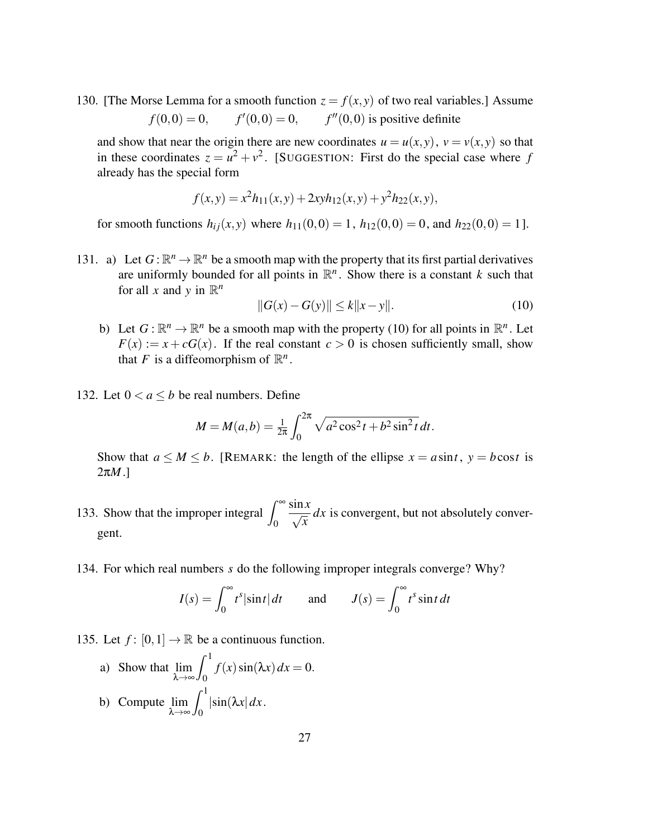130. [The Morse Lemma for a smooth function  $z = f(x, y)$  of two real variables.] Assume  $f(0,0) = 0$ ,  $f'(0,0) = 0$ ,  $f''(0,0)$  is positive definite

and show that near the origin there are new coordinates  $u = u(x, y)$ ,  $v = v(x, y)$  so that in these coordinates  $z = u^2 + v^2$ . [SUGGESTION: First do the special case where *f* already has the special form

$$
f(x,y) = x^2h_{11}(x,y) + 2xyh_{12}(x,y) + y^2h_{22}(x,y),
$$

for smooth functions  $h_{ij}(x, y)$  where  $h_{11}(0, 0) = 1$ ,  $h_{12}(0, 0) = 0$ , and  $h_{22}(0, 0) = 1$ .

131. a) Let  $G: \mathbb{R}^n \to \mathbb{R}^n$  be a smooth map with the property that its first partial derivatives are uniformly bounded for all points in  $\mathbb{R}^n$ . Show there is a constant *k* such that for all *x* and *y* in  $\mathbb{R}^n$ 

$$
||G(x) - G(y)|| \le k||x - y||. \tag{10}
$$

- b) Let  $G: \mathbb{R}^n \to \mathbb{R}^n$  be a smooth map with the property (10) for all points in  $\mathbb{R}^n$ . Let  $F(x) := x + cG(x)$ . If the real constant  $c > 0$  is chosen sufficiently small, show that *F* is a diffeomorphism of  $\mathbb{R}^n$ .
- 132. Let  $0 < a < b$  be real numbers. Define

$$
M = M(a, b) = \frac{1}{2\pi} \int_0^{2\pi} \sqrt{a^2 \cos^2 t + b^2 \sin^2 t} dt.
$$

Show that  $a \leq M \leq b$ . [REMARK: the length of the ellipse  $x = a \sin t$ ,  $y = b \cos t$  is 2π*M*.]

- 133. Show that the improper integral  $\int_{-\infty}^{\infty}$ 0  $\frac{\sin x}{\sqrt{2}}$  $\frac{dx}{dt}$  *dx* is convergent, but not absolutely convergent.
- 134. For which real numbers *s* do the following improper integrals converge? Why?

$$
I(s) = \int_0^\infty t^s |\sin t| \, dt \qquad \text{and} \qquad J(s) = \int_0^\infty t^s \sin t \, dt
$$

135. Let  $f: [0,1] \to \mathbb{R}$  be a continuous function.

a) Show that lim λ→∞  $\int_1^1$  $\int_0^t f(x) \sin(\lambda x) dx = 0.$ b) Compute lim λ→∞  $\int_1^1$  $\int_0^{\pi} |\sin(\lambda x)| dx$ .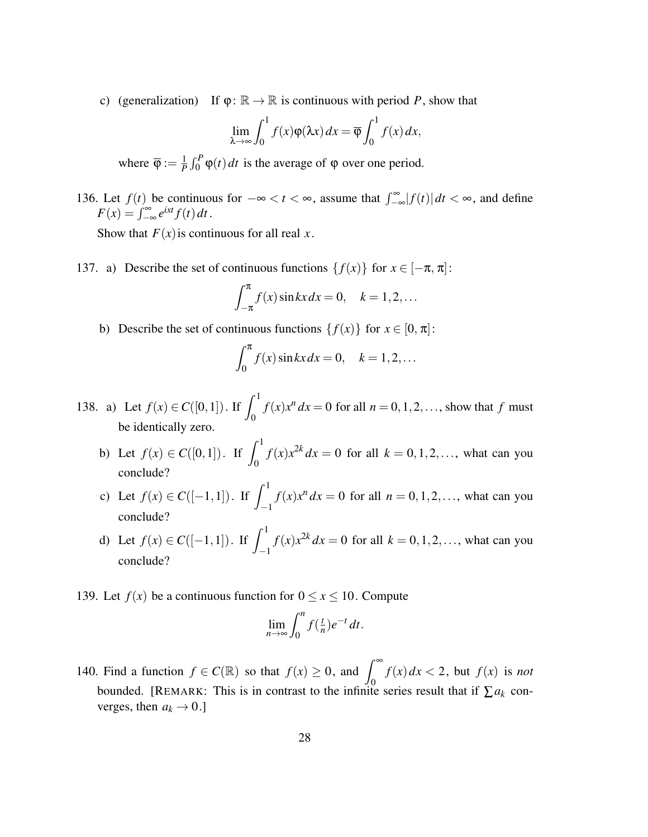c) (generalization) If  $\varphi: \mathbb{R} \to \mathbb{R}$  is continuous with period P, show that

$$
\lim_{\lambda \to \infty} \int_0^1 f(x) \varphi(\lambda x) dx = \overline{\varphi} \int_0^1 f(x) dx,
$$

where  $\overline{\varphi} := \frac{1}{p}$  $\frac{1}{P} \int_0^P \varphi(t) dt$  is the average of  $\varphi$  over one period.

136. Let  $f(t)$  be continuous for  $-\infty < t < \infty$ , assume that  $\int_{-\infty}^{\infty} |f(t)| dt < \infty$ , and define  $F(x) = \int_{-\infty}^{\infty} e^{ixt} f(t) dt$ .

Show that  $F(x)$  is continuous for all real *x*.

137. a) Describe the set of continuous functions  $\{f(x)\}\$ for  $x \in [-\pi, \pi]$ :

$$
\int_{-\pi}^{\pi} f(x) \sin kx dx = 0, \quad k = 1, 2, \dots
$$

b) Describe the set of continuous functions  $\{f(x)\}\$ for  $x \in [0, \pi]$ :

$$
\int_0^{\pi} f(x) \sin kx dx = 0, \quad k = 1, 2, \dots
$$

- 138. a) Let  $f(x) \in C([0,1])$ . If  $\int_0^1$ 0  $f(x)x^n dx = 0$  for all  $n = 0, 1, 2, \ldots$ , show that  $f$  must be identically zero.
	- b) Let  $f(x) \in C([0,1])$ . If  $\int_1^1$ 0 *f*(*x*)*x*<sup>2*k*</sup> *dx* = 0 for all *k* = 0,1,2,..., what can you conclude?
	- c) Let  $f(x) \in C([-1,1])$ . If  $\int_1^1$ −1  $f(x)x^n dx = 0$  for all  $n = 0, 1, 2, \ldots$ , what can you conclude?
	- d) Let  $f(x) \in C([-1,1])$ . If  $\int_1^1$ −1  $f(x)x^{2k} dx = 0$  for all  $k = 0, 1, 2, ...$ , what can you conclude?
- 139. Let  $f(x)$  be a continuous function for  $0 \le x \le 10$ . Compute

$$
\lim_{n\to\infty}\int_0^n f(\tfrac{t}{n})e^{-t}\,dt.
$$

140. Find a function  $f \in C(\mathbb{R})$  so that  $f(x) \ge 0$ , and  $\int_{-\infty}^{\infty} f(x) dx < 2$ , but  $f(x)$  is *not* bounded. [REMARK: This is in contrast to the infinite series result that if  $\sum a_k$  converges, then  $a_k \rightarrow 0$ .]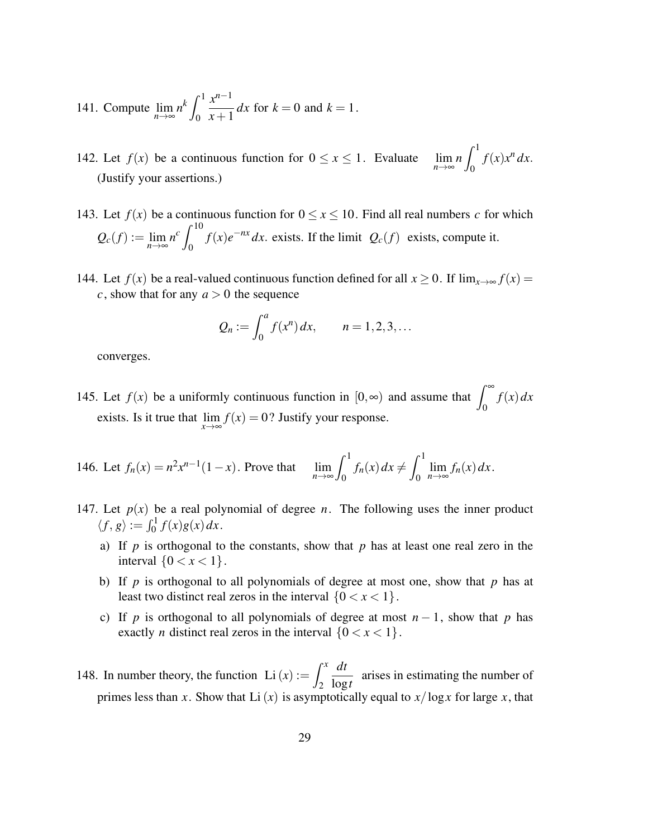141. Compute 
$$
\lim_{n \to \infty} n^k \int_0^1 \frac{x^{n-1}}{x+1} dx
$$
 for  $k = 0$  and  $k = 1$ .

142. Let  $f(x)$  be a continuous function for  $0 \le x \le 1$ . Evaluate  $\lim_{n \to \infty} n \int_0^1$ 0  $f(x)x^n dx$ . (Justify your assertions.)

- 143. Let  $f(x)$  be a continuous function for  $0 \le x \le 10$ . Find all real numbers *c* for which  $Q_c(f) := \lim_{n \to \infty} n^c \int_0^{10}$ 0  $f(x)e^{-nx} dx$ . exists. If the limit  $Q_c(f)$  exists, compute it.
- 144. Let  $f(x)$  be a real-valued continuous function defined for all  $x \ge 0$ . If  $\lim_{x\to\infty} f(x) =$ *c*, show that for any  $a > 0$  the sequence

$$
Q_n := \int_0^a f(x^n) dx
$$
,  $n = 1, 2, 3, ...$ 

converges.

- 145. Let  $f(x)$  be a uniformly continuous function in  $[0, \infty)$  and assume that  $\int_0^\infty$ *f*(*x*)*dx* exists. Is it true that  $\lim_{x \to \infty} f(x) = 0$ ? Justify your response.
- 146. Let  $f_n(x) = n^2 x^{n-1} (1-x)$ . Prove that  $\lim_{n \to \infty}$  $\int_1^1$  $\int_0^{\pi} f_n(x) dx \neq 0$  $\int_1^1$ 0  $\lim_{n\to\infty}$ *f<sub>n</sub>*(*x*)*dx*.
- 147. Let  $p(x)$  be a real polynomial of degree *n*. The following uses the inner product  $\langle f, g \rangle := \int_0^1 f(x)g(x) dx.$ 
	- a) If *p* is orthogonal to the constants, show that *p* has at least one real zero in the interval  $\{0 < x < 1\}$ .
	- b) If *p* is orthogonal to all polynomials of degree at most one, show that *p* has at least two distinct real zeros in the interval  $\{0 < x < 1\}$ .
	- c) If *p* is orthogonal to all polynomials of degree at most  $n 1$ , show that *p* has exactly *n* distinct real zeros in the interval  $\{0 < x < 1\}$ .
- 148. In number theory, the function Li $(x) := \int^x$ 2 *dt*  $\frac{du}{\log t}$  arises in estimating the number of primes less than *x*. Show that Li(*x*) is asymptotically equal to  $x/\log x$  for large *x*, that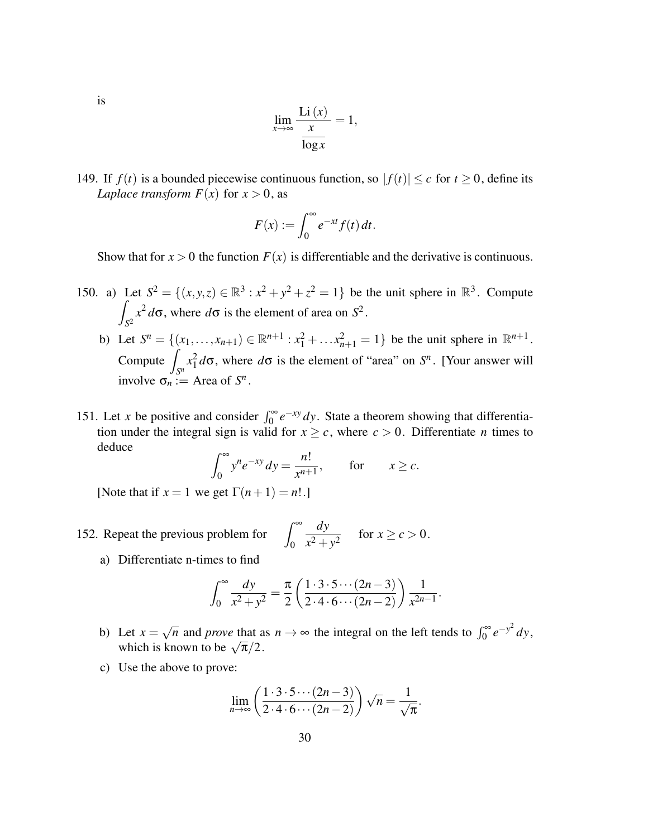is

$$
\lim_{x \to \infty} \frac{\text{Li}(x)}{\frac{x}{\log x}} = 1,
$$

149. If  $f(t)$  is a bounded piecewise continuous function, so  $|f(t)| \leq c$  for  $t \geq 0$ , define its *Laplace transform*  $F(x)$  for  $x > 0$ , as

$$
F(x) := \int_0^\infty e^{-xt} f(t) dt.
$$

Show that for  $x > 0$  the function  $F(x)$  is differentiable and the derivative is continuous.

- 150. a) Let  $S^2 = \{(x, y, z) \in \mathbb{R}^3 : x^2 + y^2 + z^2 = 1\}$  be the unit sphere in  $\mathbb{R}^3$ . Compute Z  $\int_{S^2} x^2 d\sigma$ , where  $d\sigma$  is the element of area on  $S^2$ .
	- b) Let  $S^n = \{(x_1, \ldots, x_{n+1}) \in \mathbb{R}^{n+1} : x_1^2 + \ldots + x_{n+1}^2 = 1\}$  be the unit sphere in  $\mathbb{R}^{n+1}$ .  $Compute$  $\int_{S^n} x_1^2 d\sigma$ , where  $d\sigma$  is the element of "area" on *S<sup>n</sup>*. [Your answer will involve  $\sigma_n := \text{Area of } S^n$ .
- 151. Let *x* be positive and consider  $\int_0^\infty e^{-xy} dy$ . State a theorem showing that differentiation under the integral sign is valid for  $x \geq c$ , where  $c > 0$ . Differentiate *n* times to deduce

$$
\int_0^\infty y^n e^{-xy} dy = \frac{n!}{x^{n+1}}, \quad \text{for} \quad x \ge c.
$$

[Note that if  $x = 1$  we get  $\Gamma(n+1) = n!$ .]

- 152. Repeat the previous problem for 0 *dy*  $\frac{dy}{x^2 + y^2}$  for  $x \ge c > 0$ .
	- a) Differentiate n-times to find

$$
\int_0^\infty \frac{dy}{x^2 + y^2} = \frac{\pi}{2} \left( \frac{1 \cdot 3 \cdot 5 \cdots (2n - 3)}{2 \cdot 4 \cdot 6 \cdots (2n - 2)} \right) \frac{1}{x^{2n - 1}}.
$$

- b) Let  $x =$  $\sqrt{n}$  and *prove* that as  $n \to \infty$  the integral on the left tends to  $\int_0^\infty e^{-y^2} dy$ , Let  $x = \sqrt{n}$  and *prove* that a<br>which is known to be  $\sqrt{\pi}/2$ .
- c) Use the above to prove:

$$
\lim_{n\to\infty}\left(\frac{1\cdot 3\cdot 5\cdots (2n-3)}{2\cdot 4\cdot 6\cdots (2n-2)}\right)\sqrt{n}=\frac{1}{\sqrt{\pi}}.
$$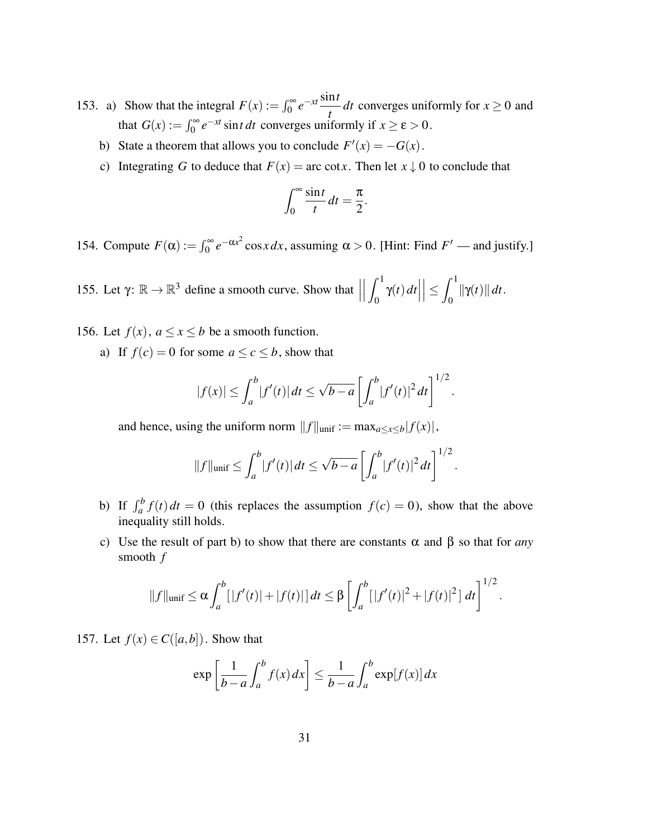- 153. a) Show that the integral  $F(x) := \int_0^\infty e^{-xt} \frac{\sin t}{t}$  $\frac{di}{dt}$  *dt* converges uniformly for  $x \ge 0$  and that  $G(x) := \int_0^\infty e^{-xt} \sin t \, dt$  converges uniformly if  $x \ge \varepsilon > 0$ .
	- b) State a theorem that allows you to conclude  $F'(x) = -G(x)$ .
	- c) Integrating *G* to deduce that  $F(x) = \arccos x$ . Then let  $x \downarrow 0$  to conclude that

$$
\int_0^\infty \frac{\sin t}{t} dt = \frac{\pi}{2}
$$

.

154. Compute  $F(\alpha) := \int_0^\infty e^{-\alpha x^2} \cos x dx$ , assuming  $\alpha > 0$ . [Hint: Find  $F'$  — and justify.]

155. Let  $\gamma: \mathbb{R} \to \mathbb{R}^3$  define a smooth curve. Show that  $\vert$  $\begin{array}{c} \begin{array}{c} \begin{array}{c} \end{array}\\ \begin{array}{c} \end{array} \end{array} \end{array}$  $\int_1^1$  $\int_0^1 \gamma(t) dt$  $\vert \leq$  $\int_1^1$  $\int_0^t \|\gamma(t)\| dt.$ 

- 156. Let  $f(x)$ ,  $a \le x \le b$  be a smooth function.
	- a) If  $f(c) = 0$  for some  $a \le c \le b$ , show that

$$
|f(x)| \leq \int_a^b |f'(t)| dt \leq \sqrt{b-a} \left[ \int_a^b |f'(t)|^2 dt \right]^{1/2}.
$$

and hence, using the uniform norm  $||f||_{\text{unif}} := \max_{a \le x \le b} |f(x)|$ ,

$$
||f||_{\text{unif}} \leq \int_{a}^{b} |f'(t)| dt \leq \sqrt{b-a} \left[ \int_{a}^{b} |f'(t)|^{2} dt \right]^{1/2}.
$$

- b) If  $\int_a^b f(t) dt = 0$  (this replaces the assumption  $f(c) = 0$ ), show that the above inequality still holds.
- c) Use the result of part b) to show that there are constants α and β so that for *any* smooth *f*

$$
||f||_{\text{unif}} \leq \alpha \int_{a}^{b} [|f'(t)| + |f(t)|] dt \leq \beta \left[ \int_{a}^{b} [|f'(t)|^{2} + |f(t)|^{2}] dt \right]^{1/2}
$$

.

157. Let  $f(x) \in C([a,b])$ . Show that

$$
\exp\left[\frac{1}{b-a}\int_{a}^{b}f(x)\,dx\right] \le \frac{1}{b-a}\int_{a}^{b}\exp[f(x)]\,dx
$$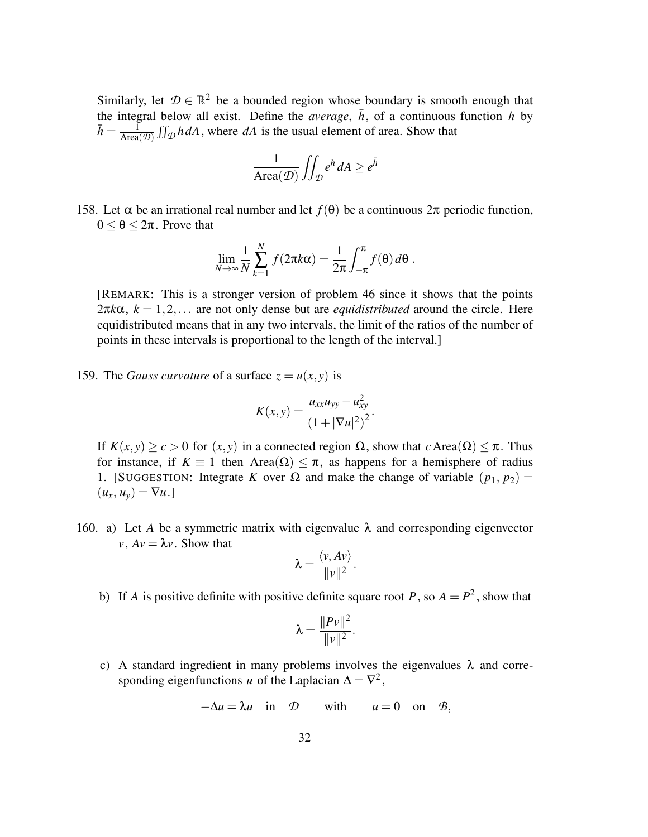Similarly, let  $\mathcal{D} \in \mathbb{R}^2$  be a bounded region whose boundary is smooth enough that the integral below all exist. Define the *average*,  $\bar{h}$ , of a continuous function *h* by  $\bar{h} = \frac{\bar{1}}{\Delta \text{rea}}$  $\frac{1}{\text{Area}(\mathcal{D})} \iint_{\mathcal{D}} h dA$ , where *dA* is the usual element of area. Show that

$$
\frac{1}{\operatorname{Area}(\mathcal{D})} \iint_{\mathcal{D}} e^h \, dA \ge e^{\bar{h}}
$$

158. Let α be an irrational real number and let *f*(θ) be a continuous 2π periodic function,  $0 \le \theta \le 2\pi$ . Prove that

$$
\lim_{N \to \infty} \frac{1}{N} \sum_{k=1}^{N} f(2\pi k \alpha) = \frac{1}{2\pi} \int_{-\pi}^{\pi} f(\theta) d\theta.
$$

[REMARK: This is a stronger version of problem 46 since it shows that the points  $2\pi k\alpha$ ,  $k = 1, 2, \dots$  are not only dense but are *equidistributed* around the circle. Here equidistributed means that in any two intervals, the limit of the ratios of the number of points in these intervals is proportional to the length of the interval.]

159. The *Gauss curvature* of a surface  $z = u(x, y)$  is

$$
K(x, y) = \frac{u_{xx}u_{yy} - u_{xy}^2}{(1 + |\nabla u|^2)^2}.
$$

If *K*(*x*, *y*) ≥ *c* > 0 for (*x*, *y*) in a connected region Ω, show that *c* Area(Ω) ≤ π. Thus for instance, if  $K \equiv 1$  then Area( $\Omega$ )  $\leq \pi$ , as happens for a hemisphere of radius 1. [SUGGESTION: Integrate *K* over  $\Omega$  and make the change of variable  $(p_1, p_2)$  =  $(u_x, u_y) = \nabla u.$ 

160. a) Let *A* be a symmetric matrix with eigenvalue  $\lambda$  and corresponding eigenvector  $v, Av = \lambda v$ . Show that h*v*, *Av*i

$$
\lambda = \frac{\langle v, Av \rangle}{\|v\|^2}.
$$

b) If *A* is positive definite with positive definite square root *P*, so  $A = P^2$ , show that

$$
\lambda = \frac{\|Pv\|^2}{\|v\|^2}.
$$

c) A standard ingredient in many problems involves the eigenvalues  $\lambda$  and corresponding eigenfunctions *u* of the Laplacian  $\Delta = \nabla^2$ ,

$$
-\Delta u = \lambda u \quad \text{in} \quad \mathcal{D} \qquad \text{with} \qquad u = 0 \quad \text{on} \quad \mathcal{B},
$$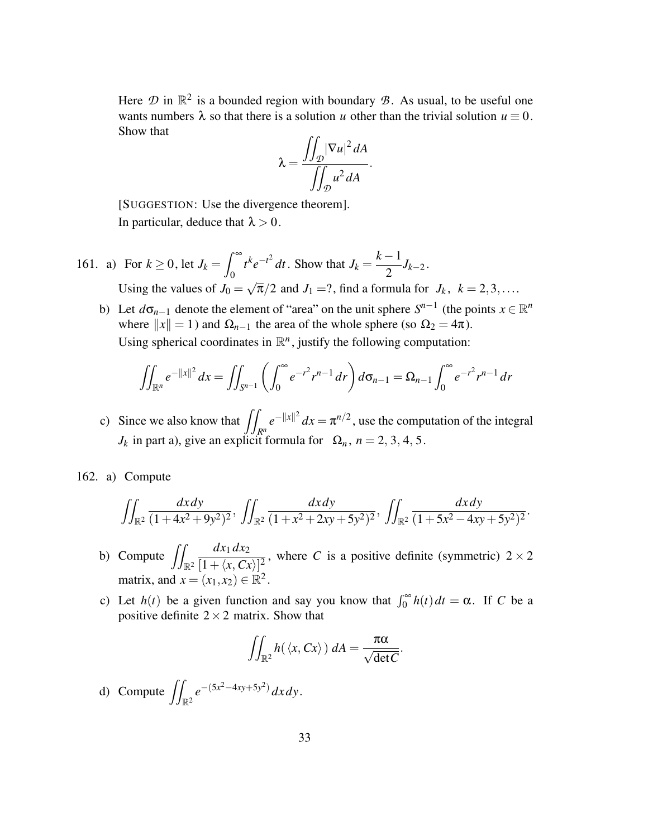Here  $\mathcal{D}$  in  $\mathbb{R}^2$  is a bounded region with boundary  $\mathcal{B}$ . As usual, to be useful one wants numbers  $\lambda$  so that there is a solution *u* other than the trivial solution  $u \equiv 0$ . Show that

$$
\lambda = \frac{\iint_{\mathcal{D}} |\nabla u|^2 dA}{\iint_{\mathcal{D}} u^2 dA}.
$$

[SUGGESTION: Use the divergence theorem]. In particular, deduce that  $\lambda > 0$ .

- 161. a) For  $k \ge 0$ , let  $J_k =$  $\int^{\infty}$ 0  $t^k e^{-t^2} dt$ . Show that *J<sub>k</sub>* = *k* −1  $\frac{1}{2}J_{k-2}$ . Using the values of  $J_0 =$ √  $\overline{\pi}/2$  and  $J_1 = ?$ , find a formula for  $J_k$ ,  $k = 2, 3, \ldots$ .
	- b) Let  $d\sigma_{n-1}$  denote the element of "area" on the unit sphere  $S^{n-1}$  (the points  $x \in \mathbb{R}^n$ where  $||x|| = 1$ ) and  $\Omega_{n-1}$  the area of the whole sphere (so  $\Omega_2 = 4\pi$ ). Using spherical coordinates in  $\mathbb{R}^n$ , justify the following computation:

$$
\iint_{\mathbb{R}^n} e^{-\|x\|^2} dx = \iint_{S^{n-1}} \left( \int_0^\infty e^{-r^2} r^{n-1} dr \right) d\sigma_{n-1} = \Omega_{n-1} \int_0^\infty e^{-r^2} r^{n-1} dr
$$

c) Since we also know that  $\int$ *Rn*  $e^{-\|x\|^2} dx = \pi^{n/2}$ , use the computation of the integral  $J_k$  in part a), give an explicit formula for  $\Omega_n$ ,  $n = 2, 3, 4, 5$ .

162. a) Compute

$$
\iint_{\mathbb{R}^2} \frac{dx \, dy}{(1+4x^2+9y^2)^2}, \, \iint_{\mathbb{R}^2} \frac{dx \, dy}{(1+x^2+2xy+5y^2)^2}, \, \iint_{\mathbb{R}^2} \frac{dx \, dy}{(1+5x^2-4xy+5y^2)^2}
$$

.

- b) Compute  $\iint_{\mathbb{R}^2}$ *dx*<sup>1</sup> *dx*<sup>2</sup>  $\frac{ax_1ax_2}{[1+\langle x, Cx \rangle]^2}$ , where *C* is a positive definite (symmetric)  $2 \times 2$ matrix, and  $x = (x_1, x_2) \in \mathbb{R}^2$ .
- c) Let  $h(t)$  be a given function and say you know that  $\int_0^\infty h(t) dt = \alpha$ . If *C* be a positive definite  $2 \times 2$  matrix. Show that

$$
\iint_{\mathbb{R}^2} h(\langle x, Cx \rangle) dA = \frac{\pi \alpha}{\sqrt{\det C}}.
$$

d) Compute  $\iint_{\mathbb{R}^2} e^{-(5x^2-4xy+5y^2)} dx dy$ .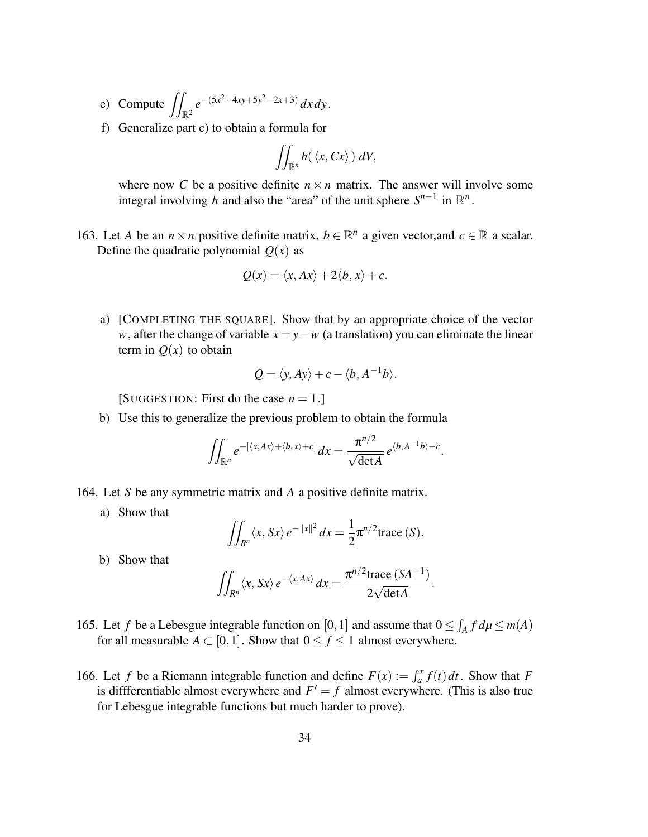- e) Compute  $\iint_{\mathbb{R}^2} e^{-(5x^2-4xy+5y^2-2x+3)} dx dy$ .
- f) Generalize part c) to obtain a formula for

$$
\iint_{\mathbb{R}^n} h(\langle x, Cx \rangle) dV,
$$

where now *C* be a positive definite  $n \times n$  matrix. The answer will involve some integral involving *h* and also the "area" of the unit sphere  $S^{n-1}$  in  $\mathbb{R}^n$ .

163. Let *A* be an  $n \times n$  positive definite matrix,  $b \in \mathbb{R}^n$  a given vector, and  $c \in \mathbb{R}$  a scalar. Define the quadratic polynomial  $Q(x)$  as

$$
Q(x) = \langle x, Ax \rangle + 2\langle b, x \rangle + c.
$$

a) [COMPLETING THE SQUARE]. Show that by an appropriate choice of the vector *w*, after the change of variable  $x = y - w$  (a translation) you can eliminate the linear term in  $O(x)$  to obtain

$$
Q = \langle y, Ay \rangle + c - \langle b, A^{-1}b \rangle.
$$

[SUGGESTION: First do the case  $n = 1$ .]

b) Use this to generalize the previous problem to obtain the formula

$$
\iint_{\mathbb{R}^n} e^{-\left[\langle x, Ax \rangle + \langle b, x \rangle + c\right]} dx = \frac{\pi^{n/2}}{\sqrt{\det A}} e^{\langle b, A^{-1}b \rangle - c}.
$$

- 164. Let *S* be any symmetric matrix and *A* a positive definite matrix.
	- a) Show that

$$
\iint_{R^n} \langle x, Sx \rangle e^{-\|x\|^2} dx = \frac{1}{2} \pi^{n/2} \text{trace}(S).
$$

b) Show that

$$
\iint_{R^n} \langle x, Sx \rangle e^{-\langle x, Ax \rangle} dx = \frac{\pi^{n/2} \text{trace}(S A^{-1})}{2 \sqrt{\text{det} A}}.
$$

- 165. Let *f* be a Lebesgue integrable function on [0, 1] and assume that  $0 \le \int_A f d\mu \le m(A)$ for all measurable  $A \subset [0,1]$ . Show that  $0 \le f \le 1$  almost everywhere.
- 166. Let *f* be a Riemann integrable function and define  $F(x) := \int_a^x f(t) dt$ . Show that *F* is differentiable almost everywhere and  $F' = f$  almost everywhere. (This is also true for Lebesgue integrable functions but much harder to prove).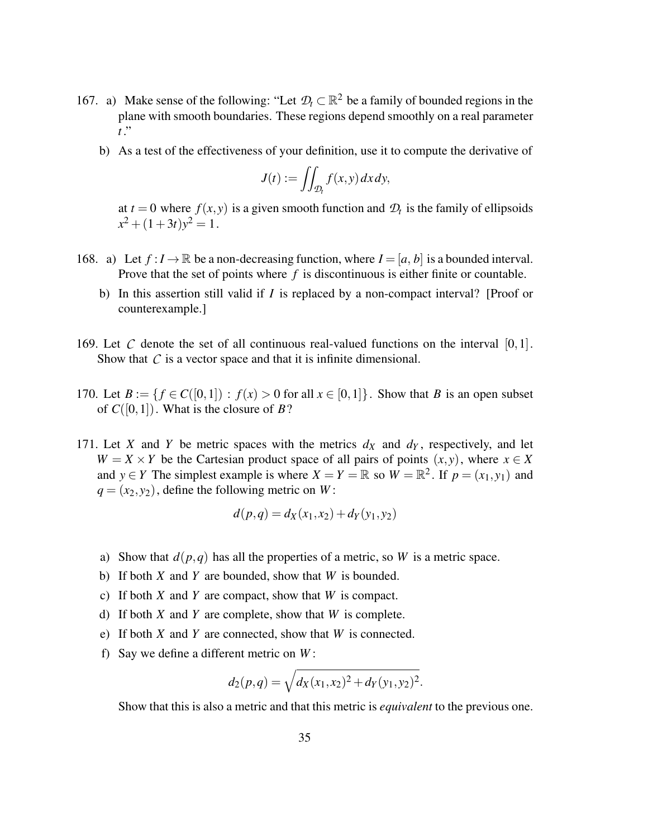- 167. a) Make sense of the following: "Let  $\mathcal{D}_t \subset \mathbb{R}^2$  be a family of bounded regions in the plane with smooth boundaries. These regions depend smoothly on a real parameter *t* ."
	- b) As a test of the effectiveness of your definition, use it to compute the derivative of

$$
J(t) := \iint_{\mathcal{D}_t} f(x, y) \, dx \, dy,
$$

at  $t = 0$  where  $f(x, y)$  is a given smooth function and  $\mathcal{D}_t$  is the family of ellipsoids  $x^2 + (1+3t)y^2 = 1$ .

- 168. a) Let  $f: I \to \mathbb{R}$  be a non-decreasing function, where  $I = [a, b]$  is a bounded interval. Prove that the set of points where f is discontinuous is either finite or countable.
	- b) In this assertion still valid if *I* is replaced by a non-compact interval? [Proof or counterexample.]
- 169. Let  $C$  denote the set of all continuous real-valued functions on the interval  $[0,1]$ . Show that  $C$  is a vector space and that it is infinite dimensional.
- 170. Let  $B := \{ f \in C([0,1]) : f(x) > 0 \text{ for all } x \in [0,1] \}$ . Show that *B* is an open subset of  $C([0,1])$ . What is the closure of B?
- 171. Let *X* and *Y* be metric spaces with the metrics  $d_X$  and  $d_Y$ , respectively, and let  $W = X \times Y$  be the Cartesian product space of all pairs of points  $(x, y)$ , where  $x \in X$ and  $y \in Y$  The simplest example is where  $X = Y = \mathbb{R}$  so  $W = \mathbb{R}^2$ . If  $p = (x_1, y_1)$  and  $q = (x_2, y_2)$ , define the following metric on *W*:

$$
d(p,q) = d_X(x_1,x_2) + d_Y(y_1,y_2)
$$

- a) Show that  $d(p,q)$  has all the properties of a metric, so *W* is a metric space.
- b) If both *X* and *Y* are bounded, show that *W* is bounded.
- c) If both *X* and *Y* are compact, show that *W* is compact.
- d) If both *X* and *Y* are complete, show that *W* is complete.
- e) If both *X* and *Y* are connected, show that *W* is connected.
- f) Say we define a different metric on *W* :

$$
d_2(p,q) = \sqrt{d_X(x_1,x_2)^2 + d_Y(y_1,y_2)^2}.
$$

Show that this is also a metric and that this metric is *equivalent* to the previous one.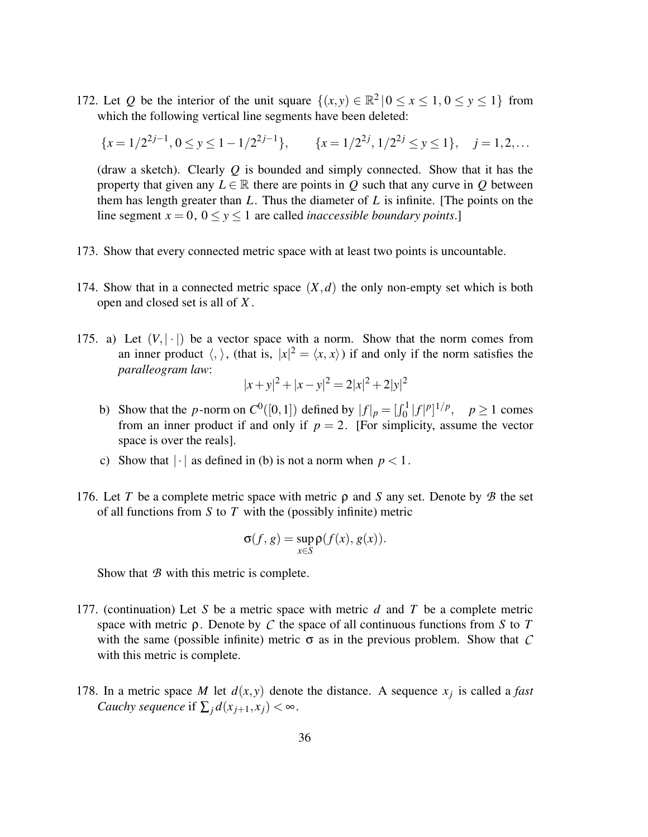172. Let *Q* be the interior of the unit square  $\{(x, y) \in \mathbb{R}^2 \mid 0 \le x \le 1, 0 \le y \le 1\}$  from which the following vertical line segments have been deleted:

$$
\{x = 1/2^{2j-1}, 0 \le y \le 1 - 1/2^{2j-1}\}, \qquad \{x = 1/2^{2j}, 1/2^{2j} \le y \le 1\}, \quad j = 1, 2, \dots
$$

(draw a sketch). Clearly *Q* is bounded and simply connected. Show that it has the property that given any  $L \in \mathbb{R}$  there are points in *Q* such that any curve in *Q* between them has length greater than *L*. Thus the diameter of *L* is infinite. [The points on the line segment  $x = 0$ ,  $0 \le y \le 1$  are called *inaccessible boundary points*.]

- 173. Show that every connected metric space with at least two points is uncountable.
- 174. Show that in a connected metric space  $(X, d)$  the only non-empty set which is both open and closed set is all of *X* .
- 175. a) Let  $(V, |\cdot|)$  be a vector space with a norm. Show that the norm comes from an inner product  $\langle , \rangle$ , (that is,  $|x|^2 = \langle x, x \rangle$ ) if and only if the norm satisfies the *paralleogram law*:

$$
|x+y|^2 + |x-y|^2 = 2|x|^2 + 2|y|^2
$$

- b) Show that the *p*-norm on  $C^0([0,1])$  defined by  $|f|_p = [f_0^1|f|^p]^{1/p}$ ,  $p \ge 1$  comes from an inner product if and only if  $p = 2$ . [For simplicity, assume the vector space is over the reals].
- c) Show that  $|\cdot|$  as defined in (b) is not a norm when  $p < 1$ .
- 176. Let *T* be a complete metric space with metric ρ and *S* any set. Denote by *B* the set of all functions from *S* to *T* with the (possibly infinite) metric

$$
\sigma(f,g) = \sup_{x \in S} \rho(f(x), g(x)).
$$

Show that *B* with this metric is complete.

- 177. (continuation) Let *S* be a metric space with metric *d* and *T* be a complete metric space with metric ρ. Denote by *C* the space of all continuous functions from *S* to *T* with the same (possible infinite) metric  $\sigma$  as in the previous problem. Show that  $C$ with this metric is complete.
- 178. In a metric space *M* let  $d(x, y)$  denote the distance. A sequence  $x_j$  is called a *fast Cauchy sequence* if  $\sum_{i} d(x_{j+1}, x_i) < \infty$ .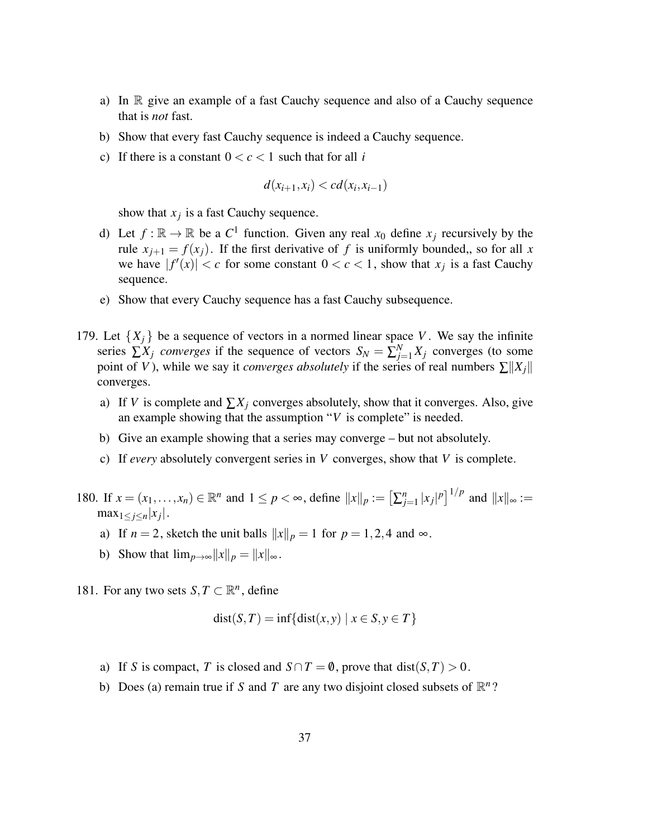- a) In  $\mathbb R$  give an example of a fast Cauchy sequence and also of a Cauchy sequence that is *not* fast.
- b) Show that every fast Cauchy sequence is indeed a Cauchy sequence.
- c) If there is a constant  $0 < c < 1$  such that for all *i*

$$
d(x_{i+1},x_i) < cd(x_i,x_{i-1})
$$

show that  $x_j$  is a fast Cauchy sequence.

- d) Let  $f : \mathbb{R} \to \mathbb{R}$  be a  $C^1$  function. Given any real  $x_0$  define  $x_j$  recursively by the rule  $x_{i+1} = f(x_i)$ . If the first derivative of f is uniformly bounded,, so for all x we have  $|f'(x)| < c$  for some constant  $0 < c < 1$ , show that  $x_j$  is a fast Cauchy sequence.
- e) Show that every Cauchy sequence has a fast Cauchy subsequence.
- 179. Let  $\{X_i\}$  be a sequence of vectors in a normed linear space V. We say the infinite series  $\sum_{j=1}^{N} X_j$  *converges* if the sequence of vectors  $S_N = \sum_{j=1}^{N} X_j$  converges (to some point of *V*), while we say it *converges absolutely* if the series of real numbers  $\sum ||X_i||$ converges.
	- a) If *V* is complete and  $\sum X_i$  converges absolutely, show that it converges. Also, give an example showing that the assumption "*V* is complete" is needed.
	- b) Give an example showing that a series may converge but not absolutely.
	- c) If *every* absolutely convergent series in *V* converges, show that *V* is complete.
- 180. If  $x = (x_1, ..., x_n) \in \mathbb{R}^n$  and  $1 \le p < \infty$ , define  $||x||_p := \left[\sum_{j=1}^n |x_j|^p\right]^{1/p}$  and  $||x||_{\infty} :=$  $\max_{1 \leq j \leq n} |x_j|$ .
	- a) If  $n = 2$ , sketch the unit balls  $||x||_p = 1$  for  $p = 1, 2, 4$  and  $\infty$ .
	- b) Show that  $\lim_{p\to\infty} ||x||_p = ||x||_{\infty}$ .
- 181. For any two sets  $S, T \subset \mathbb{R}^n$ , define

$$
dist(S, T) = inf{dist(x, y) | x \in S, y \in T}
$$

- a) If *S* is compact, *T* is closed and  $S \cap T = \emptyset$ , prove that dist(*S*, *T*) > 0.
- b) Does (a) remain true if *S* and *T* are any two disjoint closed subsets of  $\mathbb{R}^n$ ?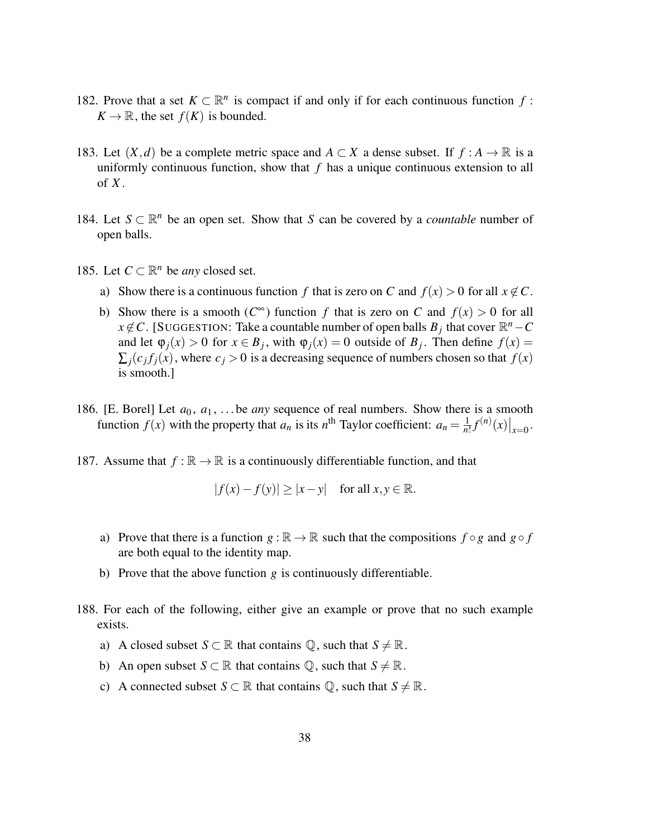- 182. Prove that a set  $K \subset \mathbb{R}^n$  is compact if and only if for each continuous function  $f$ :  $K \to \mathbb{R}$ , the set  $f(K)$  is bounded.
- 183. Let  $(X,d)$  be a complete metric space and  $A \subset X$  a dense subset. If  $f : A \to \mathbb{R}$  is a uniformly continuous function, show that *f* has a unique continuous extension to all of *X* .
- 184. Let  $S \subset \mathbb{R}^n$  be an open set. Show that *S* can be covered by a *countable* number of open balls.
- 185. Let  $C \subset \mathbb{R}^n$  be *any* closed set.
	- a) Show there is a continuous function *f* that is zero on *C* and  $f(x) > 0$  for all  $x \notin C$ .
	- b) Show there is a smooth  $(C^{\infty})$  function *f* that is zero on *C* and  $f(x) > 0$  for all  $x \notin C$ . [SUGGESTION: Take a countable number of open balls  $B_j$  that cover  $\mathbb{R}^n - C$ and let  $\varphi_j(x) > 0$  for  $x \in B_j$ , with  $\varphi_j(x) = 0$  outside of  $B_j$ . Then define  $f(x) =$  $\sum_j (c_j f_j(x))$ , where  $c_j > 0$  is a decreasing sequence of numbers chosen so that  $f(x)$ is smooth.]
- 186. [E. Borel] Let  $a_0, a_1, \ldots$  be *any* sequence of real numbers. Show there is a smooth function  $f(x)$  with the property that  $a_n$  is its  $n^{\text{th}}$  Taylor coefficient:  $a_n = \frac{1}{n}$  $\frac{1}{n!}f^{(n)}(x)|_{x=0}$ .
- 187. Assume that  $f : \mathbb{R} \to \mathbb{R}$  is a continuously differentiable function, and that

$$
|f(x) - f(y)| \ge |x - y| \quad \text{for all } x, y \in \mathbb{R}.
$$

- a) Prove that there is a function  $g : \mathbb{R} \to \mathbb{R}$  such that the compositions  $f \circ g$  and  $g \circ f$ are both equal to the identity map.
- b) Prove that the above function *g* is continuously differentiable.
- 188. For each of the following, either give an example or prove that no such example exists.
	- a) A closed subset  $S \subset \mathbb{R}$  that contains  $\mathbb{Q}$ , such that  $S \neq \mathbb{R}$ .
	- b) An open subset  $S \subset \mathbb{R}$  that contains  $\mathbb{Q}$ , such that  $S \neq \mathbb{R}$ .
	- c) A connected subset  $S \subset \mathbb{R}$  that contains  $\mathbb{Q}$ , such that  $S \neq \mathbb{R}$ .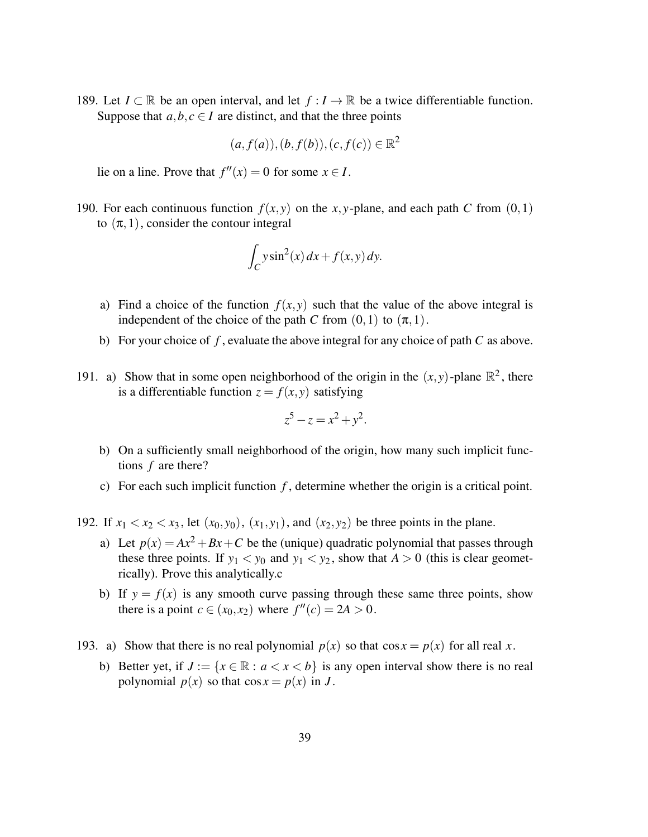189. Let  $I \subset \mathbb{R}$  be an open interval, and let  $f : I \to \mathbb{R}$  be a twice differentiable function. Suppose that  $a, b, c \in I$  are distinct, and that the three points

$$
(a, f(a)), (b, f(b)), (c, f(c)) \in \mathbb{R}^2
$$

lie on a line. Prove that  $f''(x) = 0$  for some  $x \in I$ .

190. For each continuous function  $f(x, y)$  on the *x*, *y*-plane, and each path *C* from  $(0, 1)$ to  $(\pi, 1)$ , consider the contour integral

$$
\int_C y\sin^2(x) dx + f(x, y) dy.
$$

- a) Find a choice of the function  $f(x, y)$  such that the value of the above integral is independent of the choice of the path *C* from  $(0,1)$  to  $(\pi,1)$ .
- b) For your choice of *f* , evaluate the above integral for any choice of path *C* as above.
- 191. a) Show that in some open neighborhood of the origin in the  $(x, y)$ -plane  $\mathbb{R}^2$ , there is a differentiable function  $z = f(x, y)$  satisfying

$$
z^5 - z = x^2 + y^2.
$$

- b) On a sufficiently small neighborhood of the origin, how many such implicit functions *f* are there?
- c) For each such implicit function *f* , determine whether the origin is a critical point.
- 192. If  $x_1 < x_2 < x_3$ , let  $(x_0, y_0)$ ,  $(x_1, y_1)$ , and  $(x_2, y_2)$  be three points in the plane.
	- a) Let  $p(x) = Ax^2 + Bx + C$  be the (unique) quadratic polynomial that passes through these three points. If  $y_1 < y_0$  and  $y_1 < y_2$ , show that  $A > 0$  (this is clear geometrically). Prove this analytically.c
	- b) If  $y = f(x)$  is any smooth curve passing through these same three points, show there is a point  $c \in (x_0, x_2)$  where  $f''(c) = 2A > 0$ .
- 193. a) Show that there is no real polynomial  $p(x)$  so that  $\cos x = p(x)$  for all real *x*.
	- b) Better yet, if  $J := \{x \in \mathbb{R} : a < x < b\}$  is any open interval show there is no real polynomial  $p(x)$  so that  $\cos x = p(x)$  in *J*.